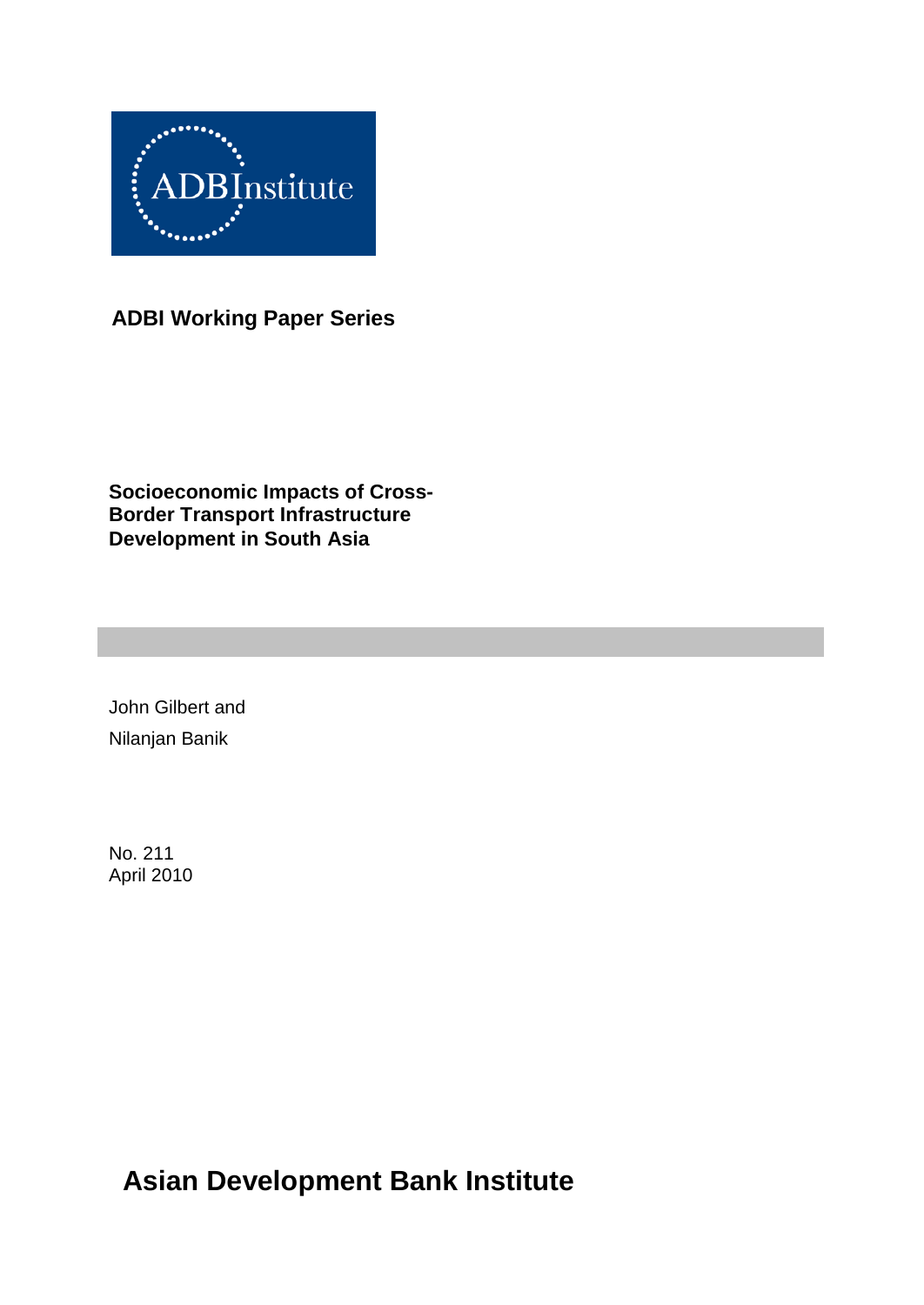

**ADBI Working Paper Series**

**Socioeconomic Impacts of Cross-Border Transport Infrastructure Development in South Asia**

John Gilbert and Nilanjan Banik

No. 211 April 2010

**Asian Development Bank Institute**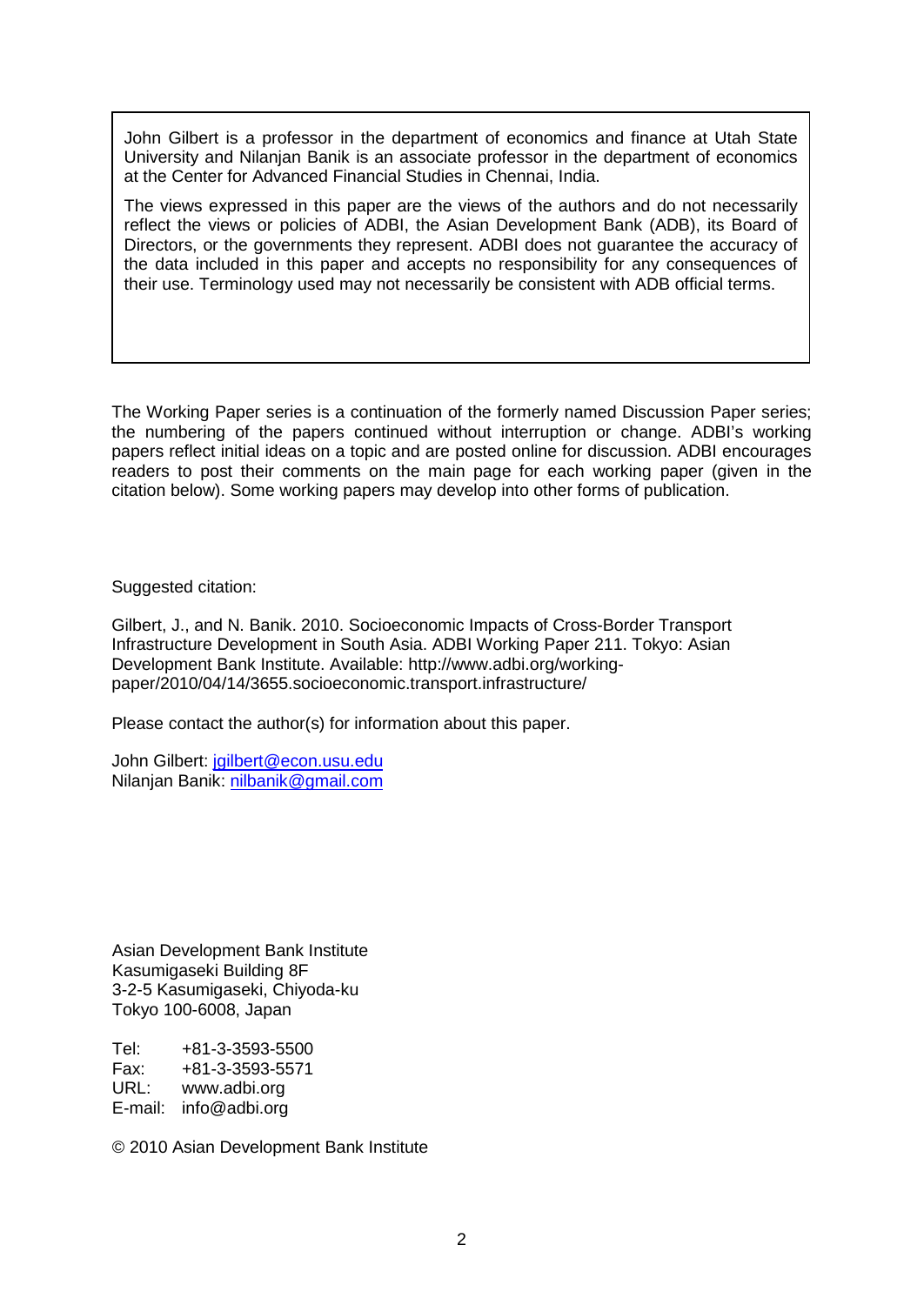John Gilbert is a professor in the department of economics and finance at Utah State University and Nilanjan Banik is an associate professor in the department of economics at the Center for Advanced Financial Studies in Chennai, India.

The views expressed in this paper are the views of the authors and do not necessarily reflect the views or policies of ADBI, the Asian Development Bank (ADB), its Board of Directors, or the governments they represent. ADBI does not guarantee the accuracy of the data included in this paper and accepts no responsibility for any consequences of their use. Terminology used may not necessarily be consistent with ADB official terms.

The Working Paper series is a continuation of the formerly named Discussion Paper series; the numbering of the papers continued without interruption or change. ADBI's working papers reflect initial ideas on a topic and are posted online for discussion. ADBI encourages readers to post their comments on the main page for each working paper (given in the citation below). Some working papers may develop into other forms of publication.

Suggested citation:

Gilbert, J., and N. Banik. 2010. Socioeconomic Impacts of Cross-Border Transport Infrastructure Development in South Asia. ADBI Working Paper 211. Tokyo: Asian Development Bank Institute. Available: http://www.adbi.org/workingpaper/2010/04/14/3655.socioeconomic.transport.infrastructure/

Please contact the author(s) for information about this paper.

John Gilbert: jailbert@econ.usu.edu Nilanjan Banik: nilbanik@gmail.com

Asian Development Bank Institute Kasumigaseki Building 8F 3-2-5 Kasumigaseki, Chiyoda-ku Tokyo 100-6008, Japan

Tel: +81-3-3593-5500 Fax: +81-3-3593-5571 www.adbi.org E-mail: info@adbi.org

© 2010 Asian Development Bank Institute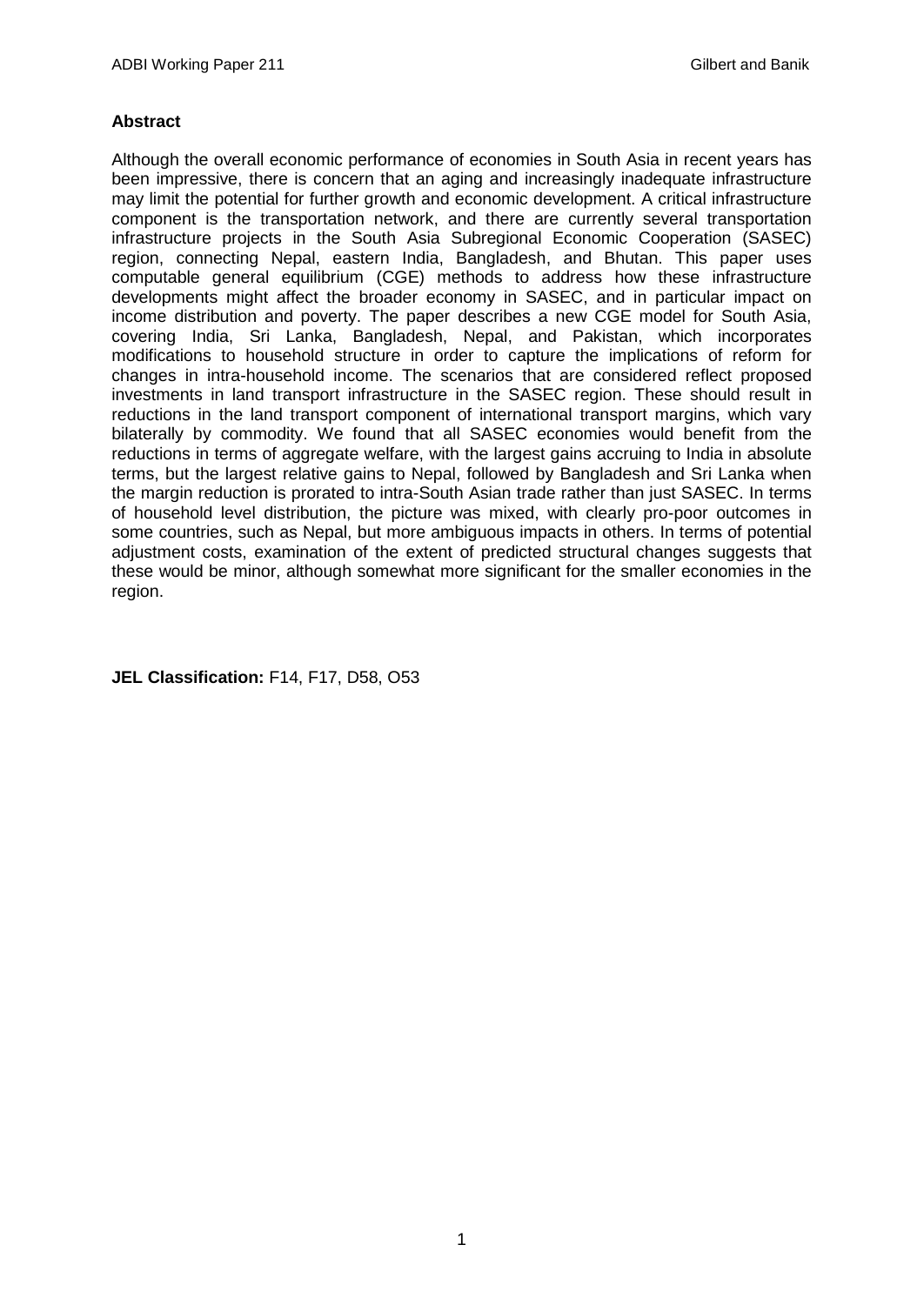#### **Abstract**

Although the overall economic performance of economies in South Asia in recent years has been impressive, there is concern that an aging and increasingly inadequate infrastructure may limit the potential for further growth and economic development. A critical infrastructure component is the transportation network, and there are currently several transportation infrastructure projects in the South Asia Subregional Economic Cooperation (SASEC) region, connecting Nepal, eastern India, Bangladesh, and Bhutan. This paper uses computable general equilibrium (CGE) methods to address how these infrastructure developments might affect the broader economy in SASEC, and in particular impact on income distribution and poverty. The paper describes a new CGE model for South Asia, covering India, Sri Lanka, Bangladesh, Nepal, and Pakistan, which incorporates modifications to household structure in order to capture the implications of reform for changes in intra-household income. The scenarios that are considered reflect proposed investments in land transport infrastructure in the SASEC region. These should result in reductions in the land transport component of international transport margins, which vary bilaterally by commodity. We found that all SASEC economies would benefit from the reductions in terms of aggregate welfare, with the largest gains accruing to India in absolute terms, but the largest relative gains to Nepal, followed by Bangladesh and Sri Lanka when the margin reduction is prorated to intra-South Asian trade rather than just SASEC. In terms of household level distribution, the picture was mixed, with clearly pro-poor outcomes in some countries, such as Nepal, but more ambiguous impacts in others. In terms of potential adjustment costs, examination of the extent of predicted structural changes suggests that these would be minor, although somewhat more significant for the smaller economies in the region.

**JEL Classification:** F14, F17, D58, O53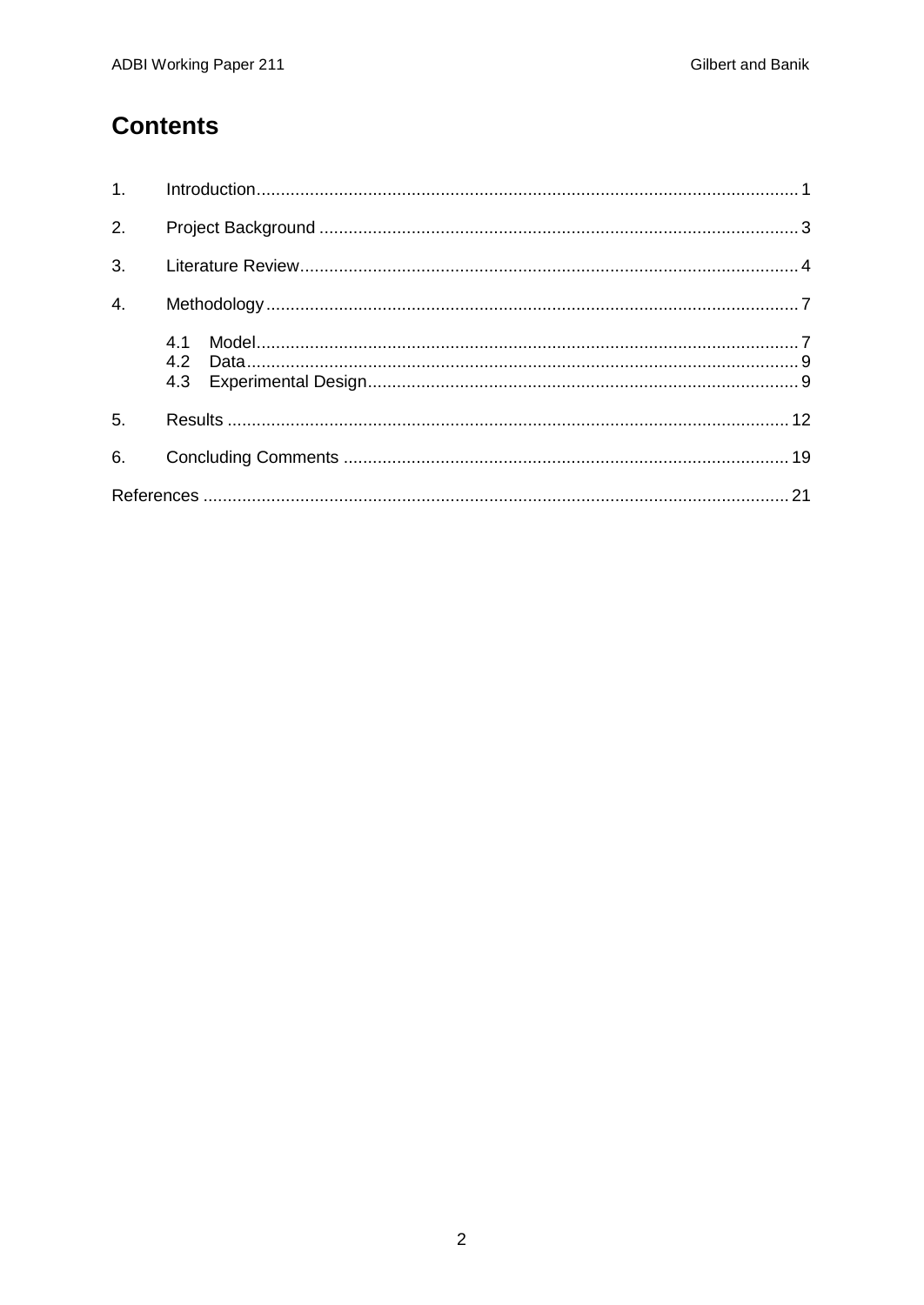## **Contents**

| 2.             |     |  |
|----------------|-----|--|
| 3 <sub>1</sub> |     |  |
| 4.             |     |  |
|                | 4.1 |  |
| 5.             |     |  |
| 6.             |     |  |
|                |     |  |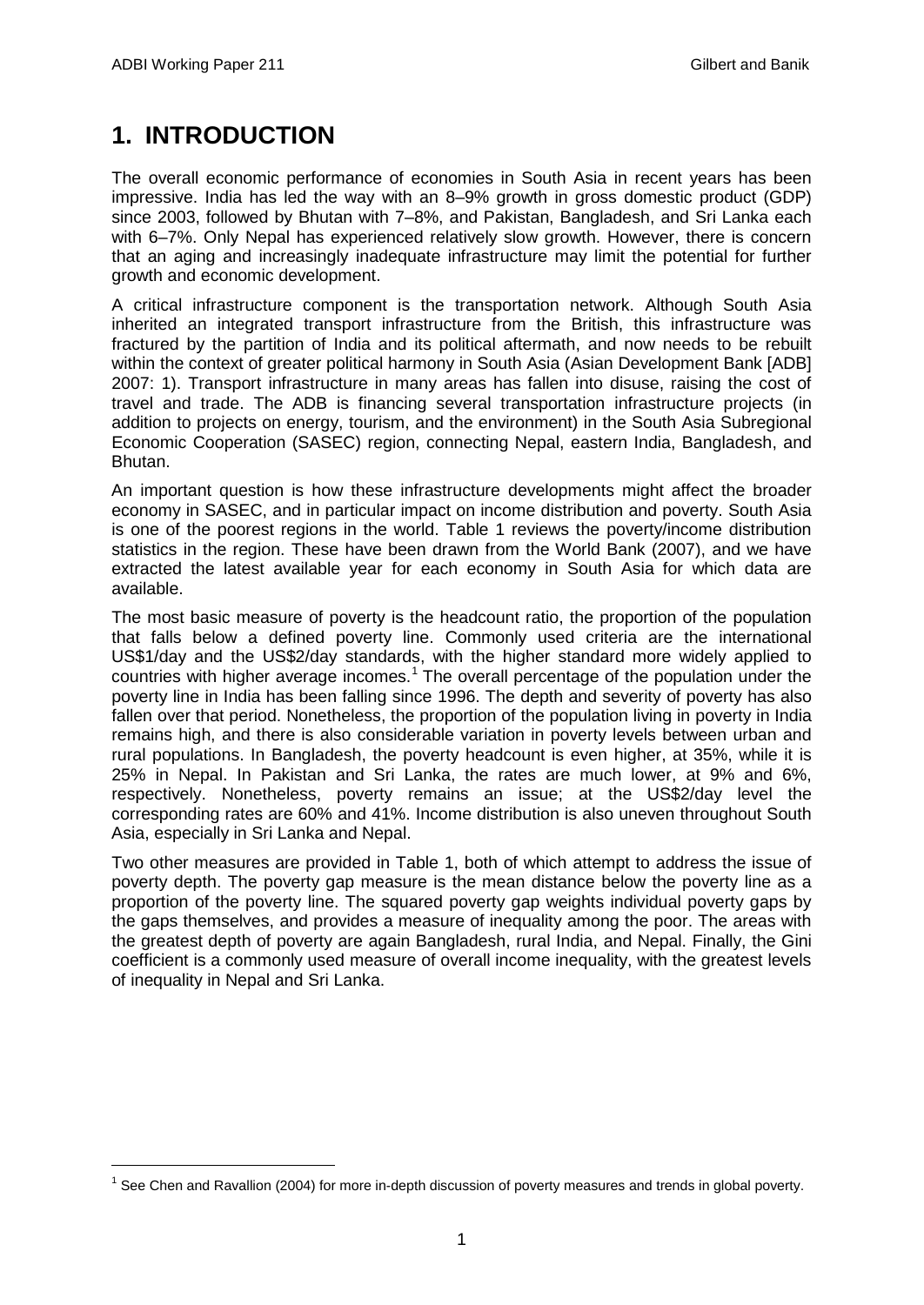# <span id="page-4-0"></span>**1. INTRODUCTION**

The overall economic performance of economies in South Asia in recent years has been impressive. India has led the way with an 8–9% growth in gross domestic product (GDP) since 2003, followed by Bhutan with 7–8%, and Pakistan, Bangladesh, and Sri Lanka each with 6–7%. Only Nepal has experienced relatively slow growth. However, there is concern that an aging and increasingly inadequate infrastructure may limit the potential for further growth and economic development.

A critical infrastructure component is the transportation network. Although South Asia inherited an integrated transport infrastructure from the British, this infrastructure was fractured by the partition of India and its political aftermath, and now needs to be rebuilt within the context of greater political harmony in South Asia (Asian Development Bank [ADB] 2007: 1). Transport infrastructure in many areas has fallen into disuse, raising the cost of travel and trade. The ADB is financing several transportation infrastructure projects (in addition to projects on energy, tourism, and the environment) in the South Asia Subregional Economic Cooperation (SASEC) region, connecting Nepal, eastern India, Bangladesh, and Bhutan.

An important question is how these infrastructure developments might affect the broader economy in SASEC, and in particular impact on income distribution and poverty. South Asia is one of the poorest regions in the world. Table 1 reviews the poverty/income distribution statistics in the region. These have been drawn from the World Bank (2007), and we have extracted the latest available year for each economy in South Asia for which data are available.

The most basic measure of poverty is the headcount ratio, the proportion of the population that falls below a defined poverty line. Commonly used criteria are the international US\$1/day and the US\$2/day standards, with the higher standard more widely applied to countries with higher average incomes.<sup>[1](#page-4-1)</sup> The overall percentage of the population under the poverty line in India has been falling since 1996. The depth and severity of poverty has also fallen over that period. Nonetheless, the proportion of the population living in poverty in India remains high, and there is also considerable variation in poverty levels between urban and rural populations. In Bangladesh, the poverty headcount is even higher, at 35%, while it is 25% in Nepal. In Pakistan and Sri Lanka, the rates are much lower, at 9% and 6%, respectively. Nonetheless, poverty remains an issue; at the US\$2/day level the corresponding rates are 60% and 41%. Income distribution is also uneven throughout South Asia, especially in Sri Lanka and Nepal.

Two other measures are provided in Table 1, both of which attempt to address the issue of poverty depth. The poverty gap measure is the mean distance below the poverty line as a proportion of the poverty line. The squared poverty gap weights individual poverty gaps by the gaps themselves, and provides a measure of inequality among the poor. The areas with the greatest depth of poverty are again Bangladesh, rural India, and Nepal. Finally, the Gini coefficient is a commonly used measure of overall income inequality, with the greatest levels of inequality in Nepal and Sri Lanka.

<span id="page-4-1"></span> $1$  See Chen and Ravallion (2004) for more in-depth discussion of poverty measures and trends in global poverty.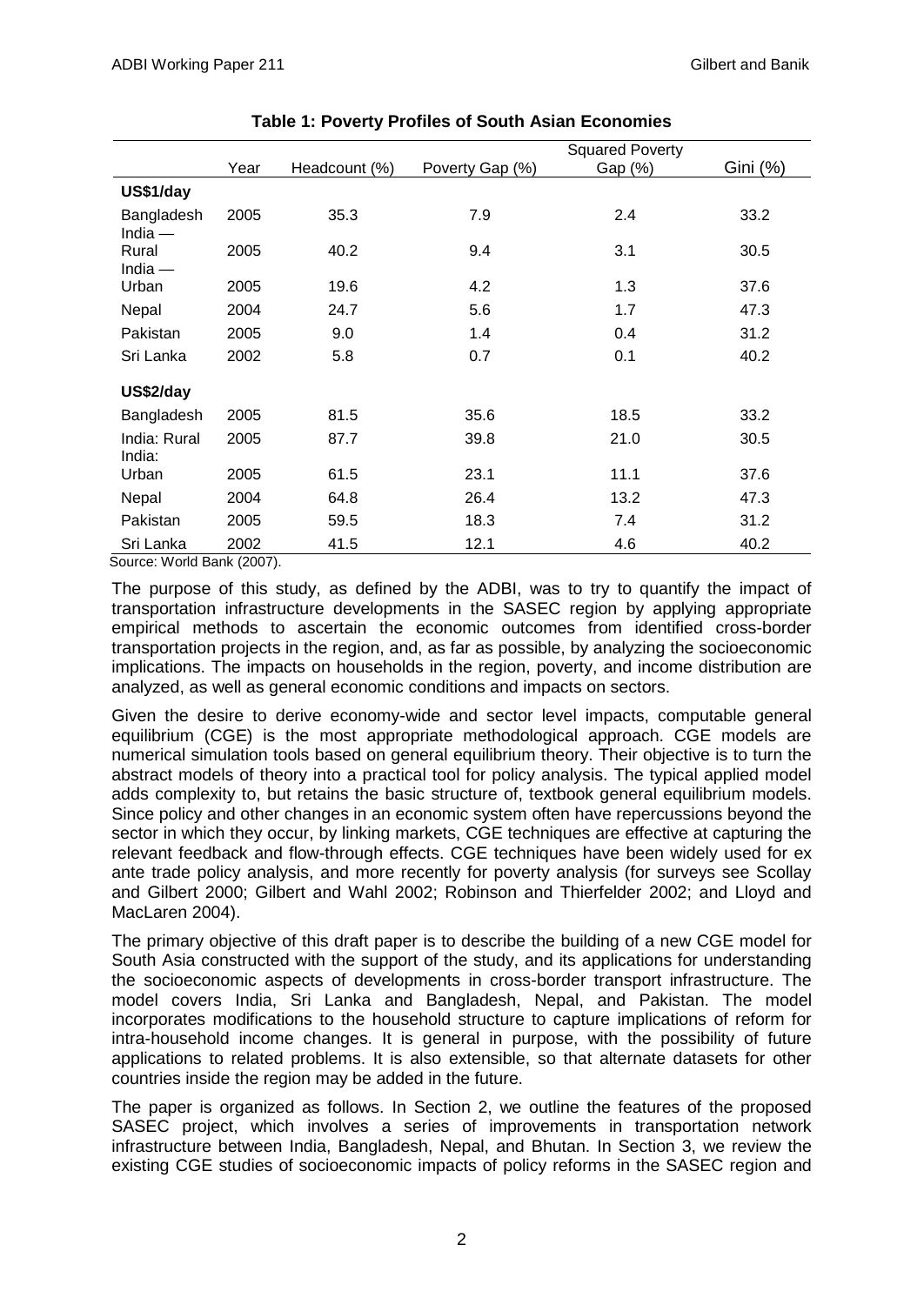|                             |                    |               |                 | <b>Squared Poverty</b> |          |
|-----------------------------|--------------------|---------------|-----------------|------------------------|----------|
|                             | Year               | Headcount (%) | Poverty Gap (%) | Gap (%)                | Gini (%) |
| US\$1/day                   |                    |               |                 |                        |          |
| Bangladesh<br>India $-$     | 2005               | 35.3          | 7.9             | 2.4                    | 33.2     |
| Rural<br>India $-$          | 2005               | 40.2          | 9.4             | 3.1                    | 30.5     |
| Urban                       | 2005               | 19.6          | 4.2             | 1.3                    | 37.6     |
| Nepal                       | 2004               | 24.7          | 5.6             | 1.7                    | 47.3     |
| Pakistan                    | 2005               | 9.0           | 1.4             | 0.4                    | 31.2     |
| Sri Lanka                   | 2002               | 5.8           | 0.7             | 0.1                    | 40.2     |
| US\$2/day                   |                    |               |                 |                        |          |
| Bangladesh                  | 2005               | 81.5          | 35.6            | 18.5                   | 33.2     |
| India: Rural<br>India:      | 2005               | 87.7          | 39.8            | 21.0                   | 30.5     |
| Urban                       | 2005               | 61.5          | 23.1            | 11.1                   | 37.6     |
| Nepal                       | 2004               | 64.8          | 26.4            | 13.2                   | 47.3     |
| Pakistan                    | 2005               | 59.5          | 18.3            | 7.4                    | 31.2     |
| Sri Lanka<br>$-101 - 100 -$ | 2002<br>$-1.70007$ | 41.5          | 12.1            | 4.6                    | 40.2     |

**Table 1: Poverty Profiles of South Asian Economies**

Source: World Bank (2007).

The purpose of this study, as defined by the ADBI, was to try to quantify the impact of transportation infrastructure developments in the SASEC region by applying appropriate empirical methods to ascertain the economic outcomes from identified cross-border transportation projects in the region, and, as far as possible, by analyzing the socioeconomic implications. The impacts on households in the region, poverty, and income distribution are analyzed, as well as general economic conditions and impacts on sectors.

Given the desire to derive economy-wide and sector level impacts, computable general equilibrium (CGE) is the most appropriate methodological approach. CGE models are numerical simulation tools based on general equilibrium theory. Their objective is to turn the abstract models of theory into a practical tool for policy analysis. The typical applied model adds complexity to, but retains the basic structure of, textbook general equilibrium models. Since policy and other changes in an economic system often have repercussions beyond the sector in which they occur, by linking markets, CGE techniques are effective at capturing the relevant feedback and flow-through effects. CGE techniques have been widely used for ex ante trade policy analysis, and more recently for poverty analysis (for surveys see Scollay and Gilbert 2000; Gilbert and Wahl 2002; Robinson and Thierfelder 2002; and Lloyd and MacLaren 2004).

The primary objective of this draft paper is to describe the building of a new CGE model for South Asia constructed with the support of the study, and its applications for understanding the socioeconomic aspects of developments in cross-border transport infrastructure. The model covers India, Sri Lanka and Bangladesh, Nepal, and Pakistan. The model incorporates modifications to the household structure to capture implications of reform for intra-household income changes. It is general in purpose, with the possibility of future applications to related problems. It is also extensible, so that alternate datasets for other countries inside the region may be added in the future.

The paper is organized as follows. In Section 2, we outline the features of the proposed SASEC project, which involves a series of improvements in transportation network infrastructure between India, Bangladesh, Nepal, and Bhutan. In Section 3, we review the existing CGE studies of socioeconomic impacts of policy reforms in the SASEC region and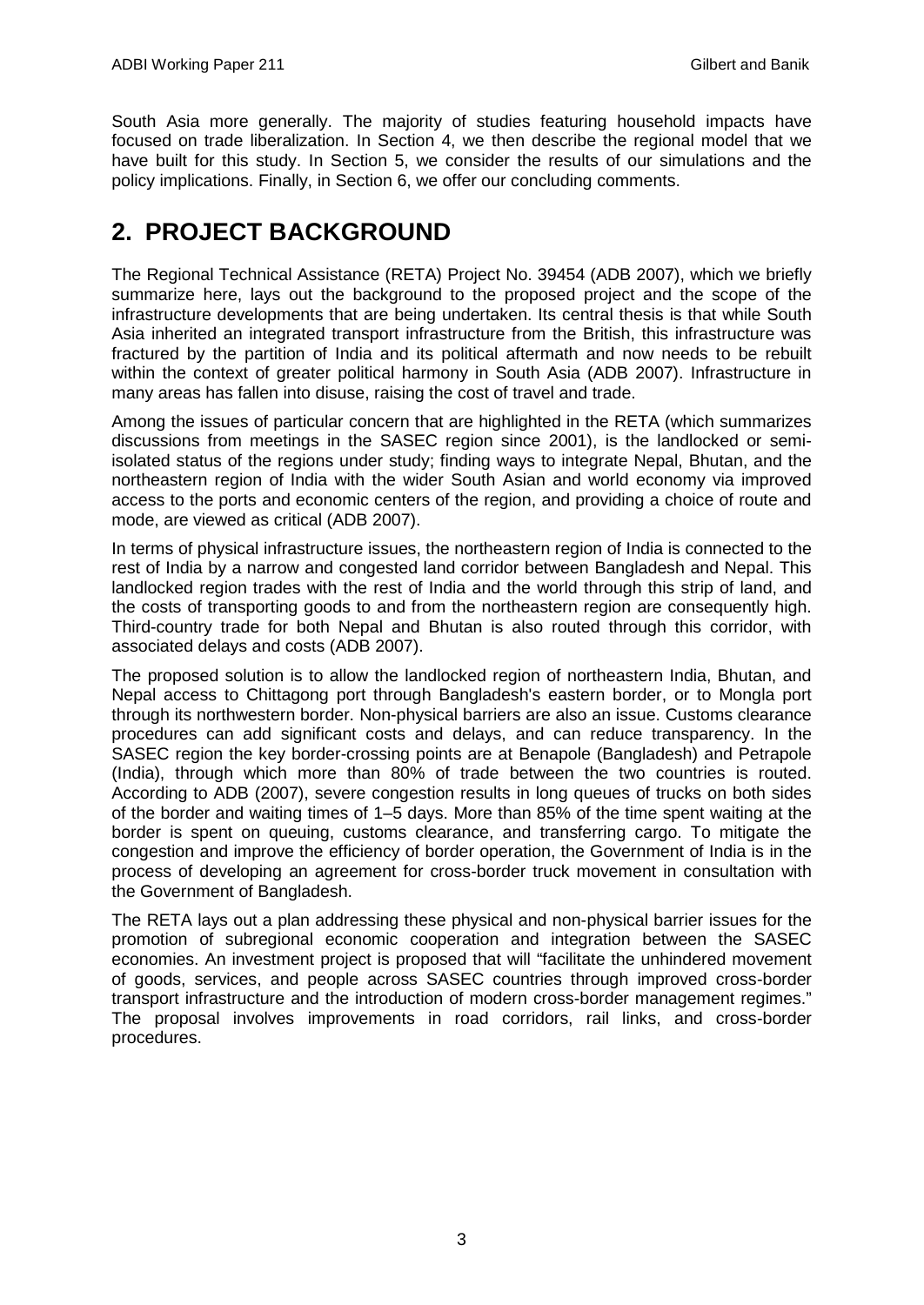South Asia more generally. The majority of studies featuring household impacts have focused on trade liberalization. In Section 4, we then describe the regional model that we have built for this study. In Section 5, we consider the results of our simulations and the policy implications. Finally, in Section 6, we offer our concluding comments.

## <span id="page-6-0"></span>**2. PROJECT BACKGROUND**

The Regional Technical Assistance (RETA) Project No. 39454 (ADB 2007), which we briefly summarize here, lays out the background to the proposed project and the scope of the infrastructure developments that are being undertaken. Its central thesis is that while South Asia inherited an integrated transport infrastructure from the British, this infrastructure was fractured by the partition of India and its political aftermath and now needs to be rebuilt within the context of greater political harmony in South Asia (ADB 2007). Infrastructure in many areas has fallen into disuse, raising the cost of travel and trade.

Among the issues of particular concern that are highlighted in the RETA (which summarizes discussions from meetings in the SASEC region since 2001), is the landlocked or semiisolated status of the regions under study; finding ways to integrate Nepal, Bhutan, and the northeastern region of India with the wider South Asian and world economy via improved access to the ports and economic centers of the region, and providing a choice of route and mode, are viewed as critical (ADB 2007).

In terms of physical infrastructure issues, the northeastern region of India is connected to the rest of India by a narrow and congested land corridor between Bangladesh and Nepal. This landlocked region trades with the rest of India and the world through this strip of land, and the costs of transporting goods to and from the northeastern region are consequently high. Third-country trade for both Nepal and Bhutan is also routed through this corridor, with associated delays and costs (ADB 2007).

The proposed solution is to allow the landlocked region of northeastern India, Bhutan, and Nepal access to Chittagong port through Bangladesh's eastern border, or to Mongla port through its northwestern border. Non-physical barriers are also an issue. Customs clearance procedures can add significant costs and delays, and can reduce transparency. In the SASEC region the key border-crossing points are at Benapole (Bangladesh) and Petrapole (India), through which more than 80% of trade between the two countries is routed. According to ADB (2007), severe congestion results in long queues of trucks on both sides of the border and waiting times of 1–5 days. More than 85% of the time spent waiting at the border is spent on queuing, customs clearance, and transferring cargo. To mitigate the congestion and improve the efficiency of border operation, the Government of India is in the process of developing an agreement for cross-border truck movement in consultation with the Government of Bangladesh.

The RETA lays out a plan addressing these physical and non-physical barrier issues for the promotion of subregional economic cooperation and integration between the SASEC economies. An investment project is proposed that will "facilitate the unhindered movement of goods, services, and people across SASEC countries through improved cross-border transport infrastructure and the introduction of modern cross-border management regimes." The proposal involves improvements in road corridors, rail links, and cross-border procedures.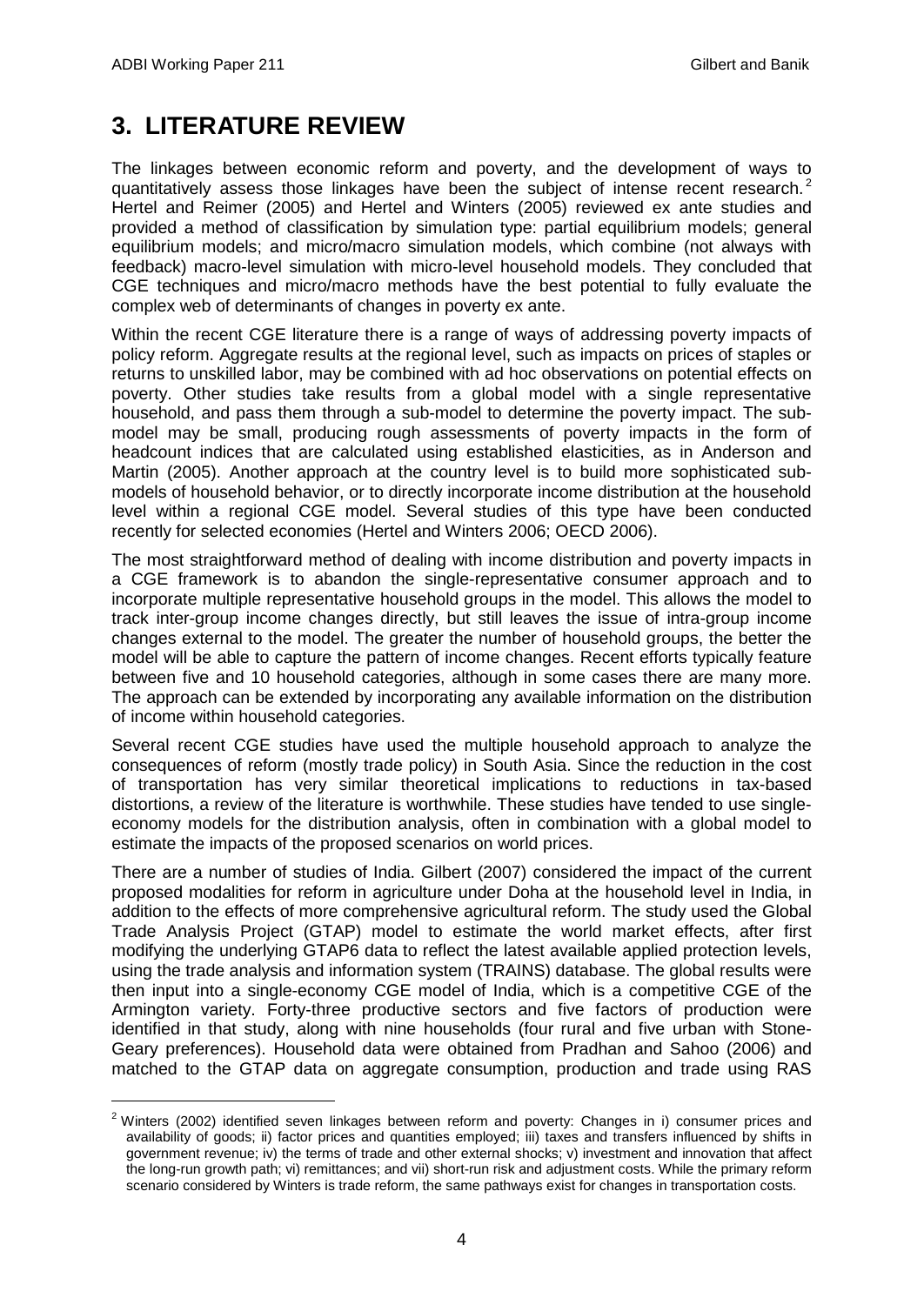## <span id="page-7-0"></span>**3. LITERATURE REVIEW**

The linkages between economic reform and poverty, and the development of ways to quantitatively assess those linkages have been the subject of intense recent research.<sup>[2](#page-7-1)</sup> Hertel and Reimer (2005) and Hertel and Winters (2005) reviewed ex ante studies and provided a method of classification by simulation type: partial equilibrium models; general equilibrium models; and micro/macro simulation models, which combine (not always with feedback) macro-level simulation with micro-level household models. They concluded that CGE techniques and micro/macro methods have the best potential to fully evaluate the complex web of determinants of changes in poverty ex ante.

Within the recent CGE literature there is a range of ways of addressing poverty impacts of policy reform. Aggregate results at the regional level, such as impacts on prices of staples or returns to unskilled labor, may be combined with ad hoc observations on potential effects on poverty. Other studies take results from a global model with a single representative household, and pass them through a sub-model to determine the poverty impact. The submodel may be small, producing rough assessments of poverty impacts in the form of headcount indices that are calculated using established elasticities, as in Anderson and Martin (2005). Another approach at the country level is to build more sophisticated submodels of household behavior, or to directly incorporate income distribution at the household level within a regional CGE model. Several studies of this type have been conducted recently for selected economies (Hertel and Winters 2006; OECD 2006).

The most straightforward method of dealing with income distribution and poverty impacts in a CGE framework is to abandon the single-representative consumer approach and to incorporate multiple representative household groups in the model. This allows the model to track inter-group income changes directly, but still leaves the issue of intra-group income changes external to the model. The greater the number of household groups, the better the model will be able to capture the pattern of income changes. Recent efforts typically feature between five and 10 household categories, although in some cases there are many more. The approach can be extended by incorporating any available information on the distribution of income within household categories.

Several recent CGE studies have used the multiple household approach to analyze the consequences of reform (mostly trade policy) in South Asia. Since the reduction in the cost of transportation has very similar theoretical implications to reductions in tax-based distortions, a review of the literature is worthwhile. These studies have tended to use singleeconomy models for the distribution analysis, often in combination with a global model to estimate the impacts of the proposed scenarios on world prices.

There are a number of studies of India. Gilbert (2007) considered the impact of the current proposed modalities for reform in agriculture under Doha at the household level in India, in addition to the effects of more comprehensive agricultural reform. The study used the Global Trade Analysis Project (GTAP) model to estimate the world market effects, after first modifying the underlying GTAP6 data to reflect the latest available applied protection levels, using the trade analysis and information system (TRAINS) database. The global results were then input into a single-economy CGE model of India, which is a competitive CGE of the Armington variety. Forty-three productive sectors and five factors of production were identified in that study, along with nine households (four rural and five urban with Stone-Geary preferences). Household data were obtained from Pradhan and Sahoo (2006) and matched to the GTAP data on aggregate consumption, production and trade using RAS

<span id="page-7-1"></span><sup>&</sup>lt;sup>2</sup> Winters (2002) identified seven linkages between reform and poverty: Changes in i) consumer prices and availability of goods; ii) factor prices and quantities employed; iii) taxes and transfers influenced by shifts in government revenue; iv) the terms of trade and other external shocks; v) investment and innovation that affect the long-run growth path; vi) remittances; and vii) short-run risk and adjustment costs. While the primary reform scenario considered by Winters is trade reform, the same pathways exist for changes in transportation costs.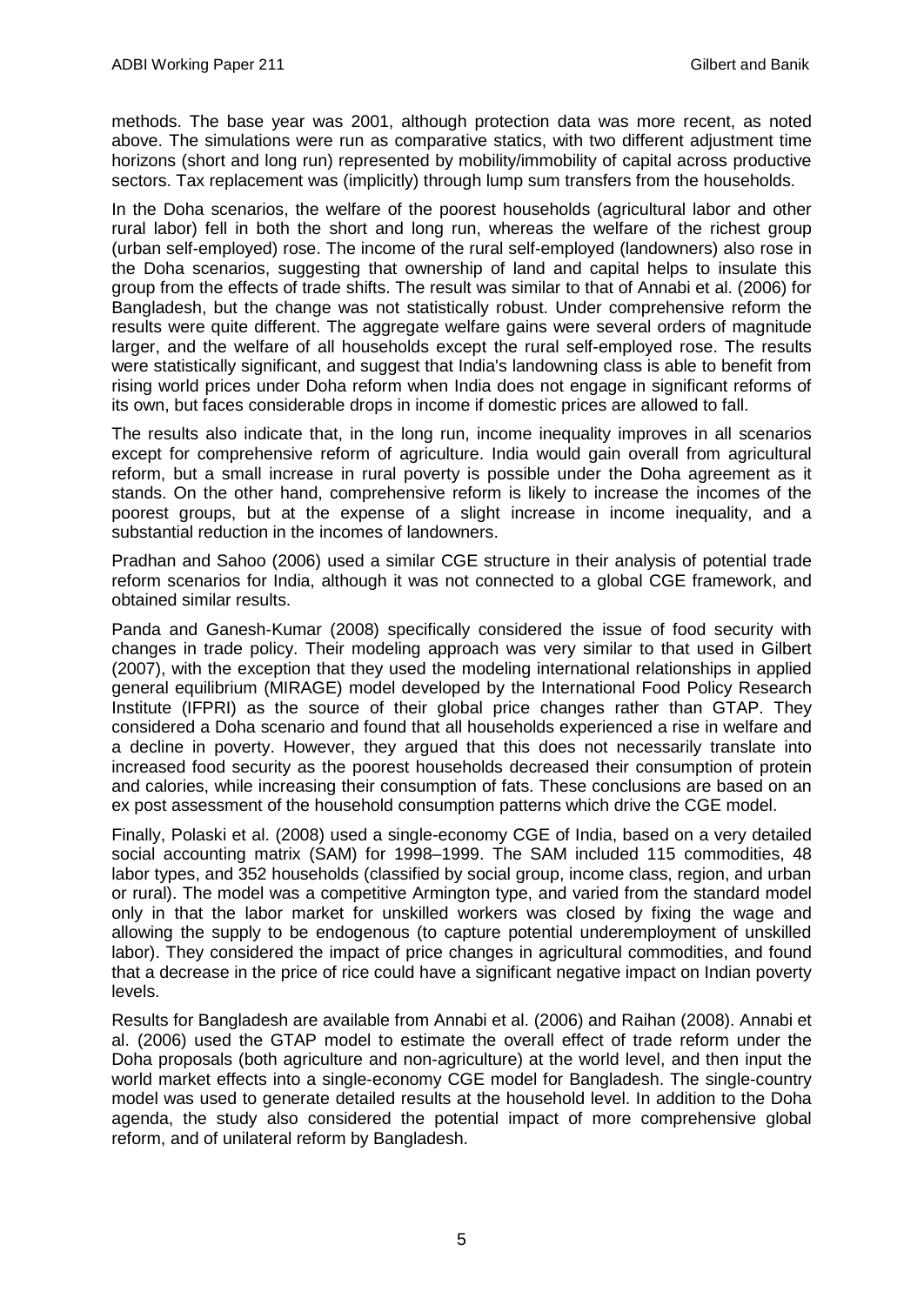methods. The base year was 2001, although protection data was more recent, as noted above. The simulations were run as comparative statics, with two different adjustment time horizons (short and long run) represented by mobility/immobility of capital across productive sectors. Tax replacement was (implicitly) through lump sum transfers from the households.

In the Doha scenarios, the welfare of the poorest households (agricultural labor and other rural labor) fell in both the short and long run, whereas the welfare of the richest group (urban self-employed) rose. The income of the rural self-employed (landowners) also rose in the Doha scenarios, suggesting that ownership of land and capital helps to insulate this group from the effects of trade shifts. The result was similar to that of Annabi et al. (2006) for Bangladesh, but the change was not statistically robust. Under comprehensive reform the results were quite different. The aggregate welfare gains were several orders of magnitude larger, and the welfare of all households except the rural self-employed rose. The results were statistically significant, and suggest that India's landowning class is able to benefit from rising world prices under Doha reform when India does not engage in significant reforms of its own, but faces considerable drops in income if domestic prices are allowed to fall.

The results also indicate that, in the long run, income inequality improves in all scenarios except for comprehensive reform of agriculture. India would gain overall from agricultural reform, but a small increase in rural poverty is possible under the Doha agreement as it stands. On the other hand, comprehensive reform is likely to increase the incomes of the poorest groups, but at the expense of a slight increase in income inequality, and a substantial reduction in the incomes of landowners.

Pradhan and Sahoo (2006) used a similar CGE structure in their analysis of potential trade reform scenarios for India, although it was not connected to a global CGE framework, and obtained similar results.

Panda and Ganesh-Kumar (2008) specifically considered the issue of food security with changes in trade policy. Their modeling approach was very similar to that used in Gilbert (2007), with the exception that they used the modeling international relationships in applied general equilibrium (MIRAGE) model developed by the International Food Policy Research Institute (IFPRI) as the source of their global price changes rather than GTAP. They considered a Doha scenario and found that all households experienced a rise in welfare and a decline in poverty. However, they argued that this does not necessarily translate into increased food security as the poorest households decreased their consumption of protein and calories, while increasing their consumption of fats. These conclusions are based on an ex post assessment of the household consumption patterns which drive the CGE model.

Finally, Polaski et al. (2008) used a single-economy CGE of India, based on a very detailed social accounting matrix (SAM) for 1998–1999. The SAM included 115 commodities, 48 labor types, and 352 households (classified by social group, income class, region, and urban or rural). The model was a competitive Armington type, and varied from the standard model only in that the labor market for unskilled workers was closed by fixing the wage and allowing the supply to be endogenous (to capture potential underemployment of unskilled labor). They considered the impact of price changes in agricultural commodities, and found that a decrease in the price of rice could have a significant negative impact on Indian poverty levels.

Results for Bangladesh are available from Annabi et al. (2006) and Raihan (2008). Annabi et al. (2006) used the GTAP model to estimate the overall effect of trade reform under the Doha proposals (both agriculture and non-agriculture) at the world level, and then input the world market effects into a single-economy CGE model for Bangladesh. The single-country model was used to generate detailed results at the household level. In addition to the Doha agenda, the study also considered the potential impact of more comprehensive global reform, and of unilateral reform by Bangladesh.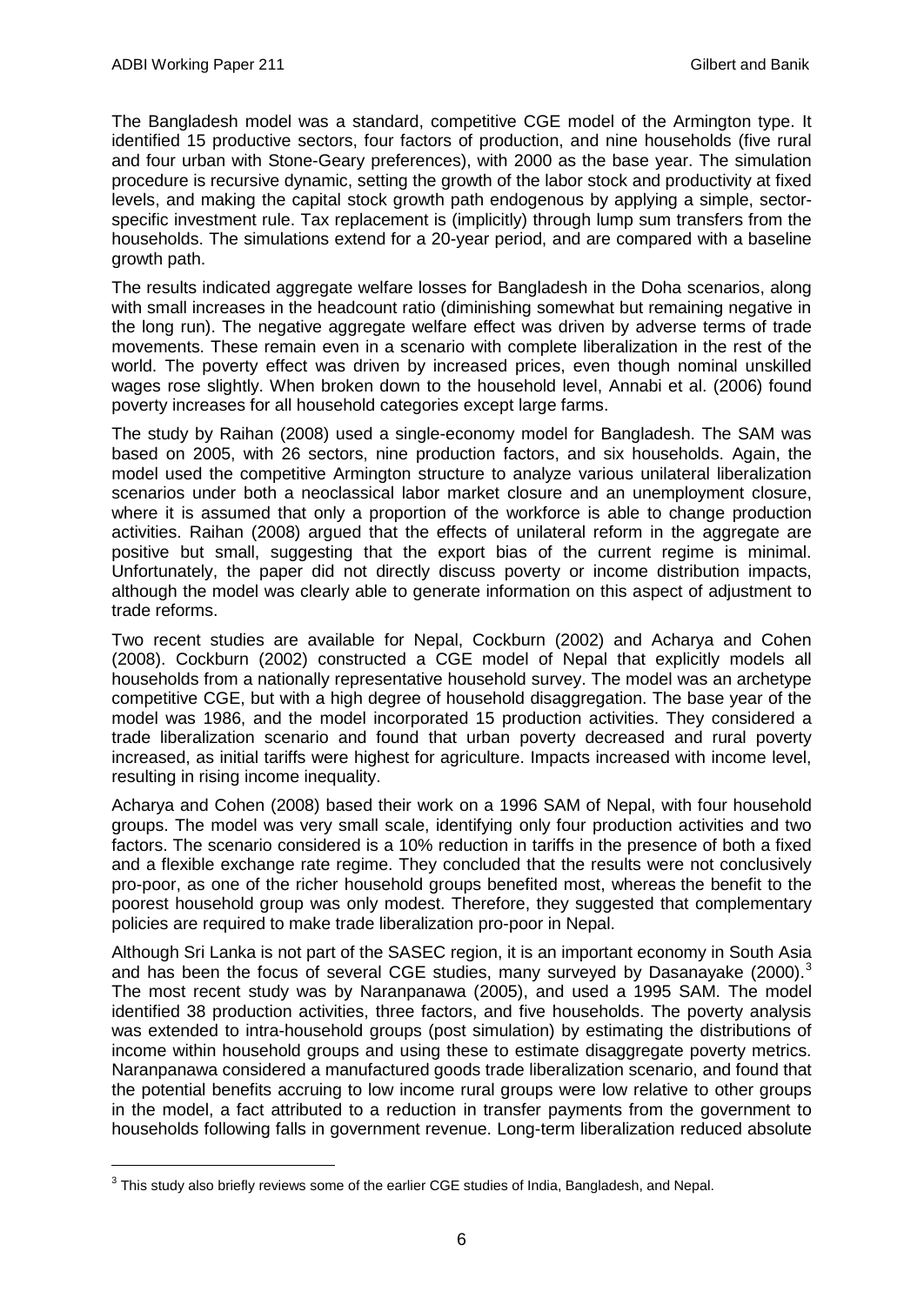The Bangladesh model was a standard, competitive CGE model of the Armington type. It identified 15 productive sectors, four factors of production, and nine households (five rural and four urban with Stone-Geary preferences), with 2000 as the base year. The simulation procedure is recursive dynamic, setting the growth of the labor stock and productivity at fixed levels, and making the capital stock growth path endogenous by applying a simple, sectorspecific investment rule. Tax replacement is (implicitly) through lump sum transfers from the households. The simulations extend for a 20-year period, and are compared with a baseline growth path.

The results indicated aggregate welfare losses for Bangladesh in the Doha scenarios, along with small increases in the headcount ratio (diminishing somewhat but remaining negative in the long run). The negative aggregate welfare effect was driven by adverse terms of trade movements. These remain even in a scenario with complete liberalization in the rest of the world. The poverty effect was driven by increased prices, even though nominal unskilled wages rose slightly. When broken down to the household level, Annabi et al. (2006) found poverty increases for all household categories except large farms.

The study by Raihan (2008) used a single-economy model for Bangladesh. The SAM was based on 2005, with 26 sectors, nine production factors, and six households. Again, the model used the competitive Armington structure to analyze various unilateral liberalization scenarios under both a neoclassical labor market closure and an unemployment closure, where it is assumed that only a proportion of the workforce is able to change production activities. Raihan (2008) argued that the effects of unilateral reform in the aggregate are positive but small, suggesting that the export bias of the current regime is minimal. Unfortunately, the paper did not directly discuss poverty or income distribution impacts, although the model was clearly able to generate information on this aspect of adjustment to trade reforms.

Two recent studies are available for Nepal, Cockburn (2002) and Acharya and Cohen (2008). Cockburn (2002) constructed a CGE model of Nepal that explicitly models all households from a nationally representative household survey. The model was an archetype competitive CGE, but with a high degree of household disaggregation. The base year of the model was 1986, and the model incorporated 15 production activities. They considered a trade liberalization scenario and found that urban poverty decreased and rural poverty increased, as initial tariffs were highest for agriculture. Impacts increased with income level, resulting in rising income inequality.

Acharya and Cohen (2008) based their work on a 1996 SAM of Nepal, with four household groups. The model was very small scale, identifying only four production activities and two factors. The scenario considered is a 10% reduction in tariffs in the presence of both a fixed and a flexible exchange rate regime. They concluded that the results were not conclusively pro-poor, as one of the richer household groups benefited most, whereas the benefit to the poorest household group was only modest. Therefore, they suggested that complementary policies are required to make trade liberalization pro-poor in Nepal.

Although Sri Lanka is not part of the SASEC region, it is an important economy in South Asia and has been the focus of several CGE studies, many surveyed by Dasanayake  $(2000)^3$  $(2000)^3$ The most recent study was by Naranpanawa (2005), and used a 1995 SAM. The model identified 38 production activities, three factors, and five households. The poverty analysis was extended to intra-household groups (post simulation) by estimating the distributions of income within household groups and using these to estimate disaggregate poverty metrics. Naranpanawa considered a manufactured goods trade liberalization scenario, and found that the potential benefits accruing to low income rural groups were low relative to other groups in the model, a fact attributed to a reduction in transfer payments from the government to households following falls in government revenue. Long-term liberalization reduced absolute

<span id="page-9-0"></span><sup>&</sup>lt;sup>3</sup> This study also briefly reviews some of the earlier CGE studies of India, Bangladesh, and Nepal.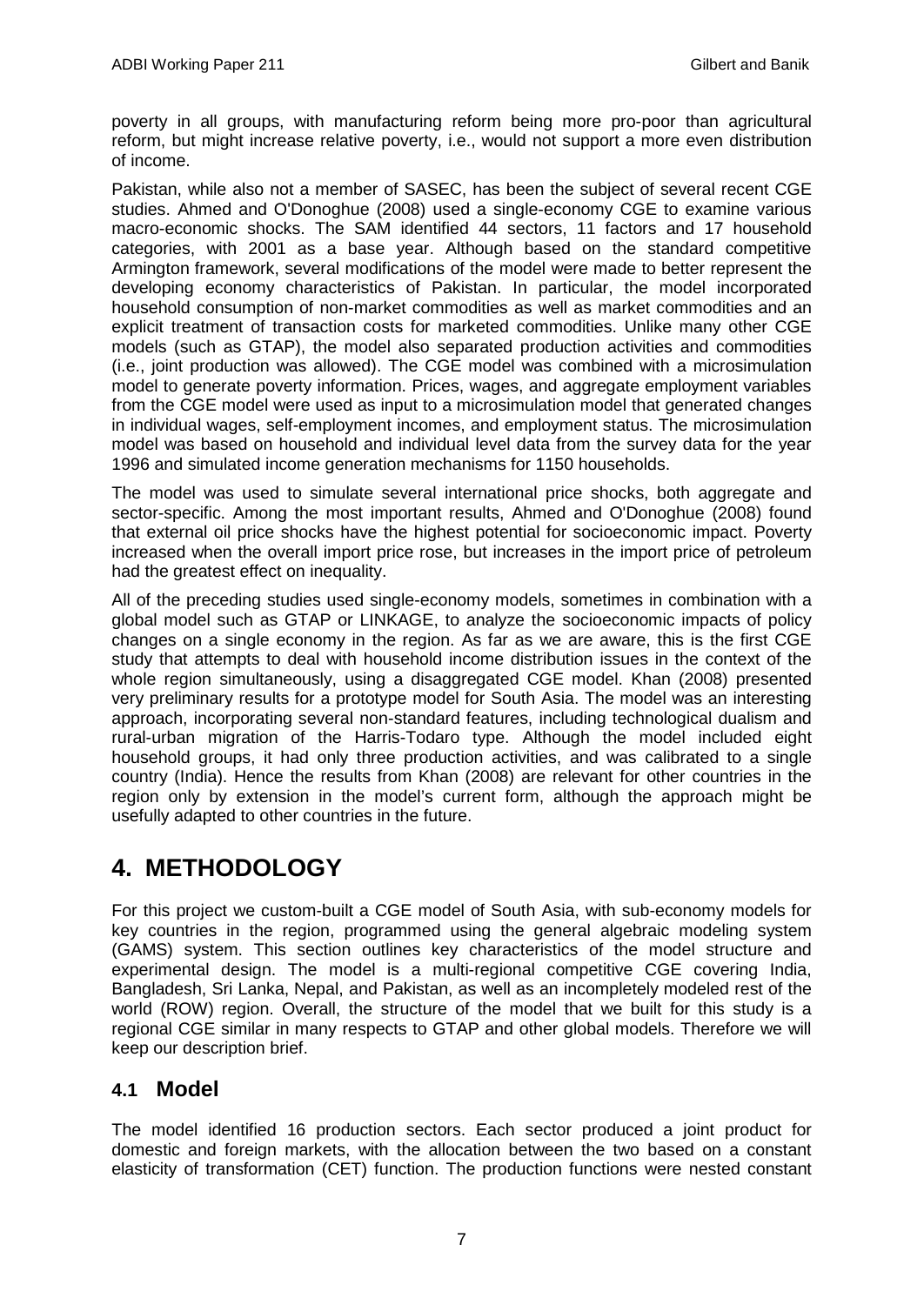poverty in all groups, with manufacturing reform being more pro-poor than agricultural reform, but might increase relative poverty, i.e., would not support a more even distribution of income.

Pakistan, while also not a member of SASEC, has been the subject of several recent CGE studies. Ahmed and O'Donoghue (2008) used a single-economy CGE to examine various macro-economic shocks. The SAM identified 44 sectors, 11 factors and 17 household categories, with 2001 as a base year. Although based on the standard competitive Armington framework, several modifications of the model were made to better represent the developing economy characteristics of Pakistan. In particular, the model incorporated household consumption of non-market commodities as well as market commodities and an explicit treatment of transaction costs for marketed commodities. Unlike many other CGE models (such as GTAP), the model also separated production activities and commodities (i.e., joint production was allowed). The CGE model was combined with a microsimulation model to generate poverty information. Prices, wages, and aggregate employment variables from the CGE model were used as input to a microsimulation model that generated changes in individual wages, self-employment incomes, and employment status. The microsimulation model was based on household and individual level data from the survey data for the year 1996 and simulated income generation mechanisms for 1150 households.

The model was used to simulate several international price shocks, both aggregate and sector-specific. Among the most important results, Ahmed and O'Donoghue (2008) found that external oil price shocks have the highest potential for socioeconomic impact. Poverty increased when the overall import price rose, but increases in the import price of petroleum had the greatest effect on inequality.

All of the preceding studies used single-economy models, sometimes in combination with a global model such as GTAP or LINKAGE, to analyze the socioeconomic impacts of policy changes on a single economy in the region. As far as we are aware, this is the first CGE study that attempts to deal with household income distribution issues in the context of the whole region simultaneously, using a disaggregated CGE model. Khan (2008) presented very preliminary results for a prototype model for South Asia. The model was an interesting approach, incorporating several non-standard features, including technological dualism and rural-urban migration of the Harris-Todaro type. Although the model included eight household groups, it had only three production activities, and was calibrated to a single country (India). Hence the results from Khan (2008) are relevant for other countries in the region only by extension in the model's current form, although the approach might be usefully adapted to other countries in the future.

# <span id="page-10-0"></span>**4. METHODOLOGY**

For this project we custom-built a CGE model of South Asia, with sub-economy models for key countries in the region, programmed using the general algebraic modeling system (GAMS) system. This section outlines key characteristics of the model structure and experimental design. The model is a multi-regional competitive CGE covering India, Bangladesh, Sri Lanka, Nepal, and Pakistan, as well as an incompletely modeled rest of the world (ROW) region. Overall, the structure of the model that we built for this study is a regional CGE similar in many respects to GTAP and other global models. Therefore we will keep our description brief.

## <span id="page-10-1"></span>**4.1 Model**

The model identified 16 production sectors. Each sector produced a joint product for domestic and foreign markets, with the allocation between the two based on a constant elasticity of transformation (CET) function. The production functions were nested constant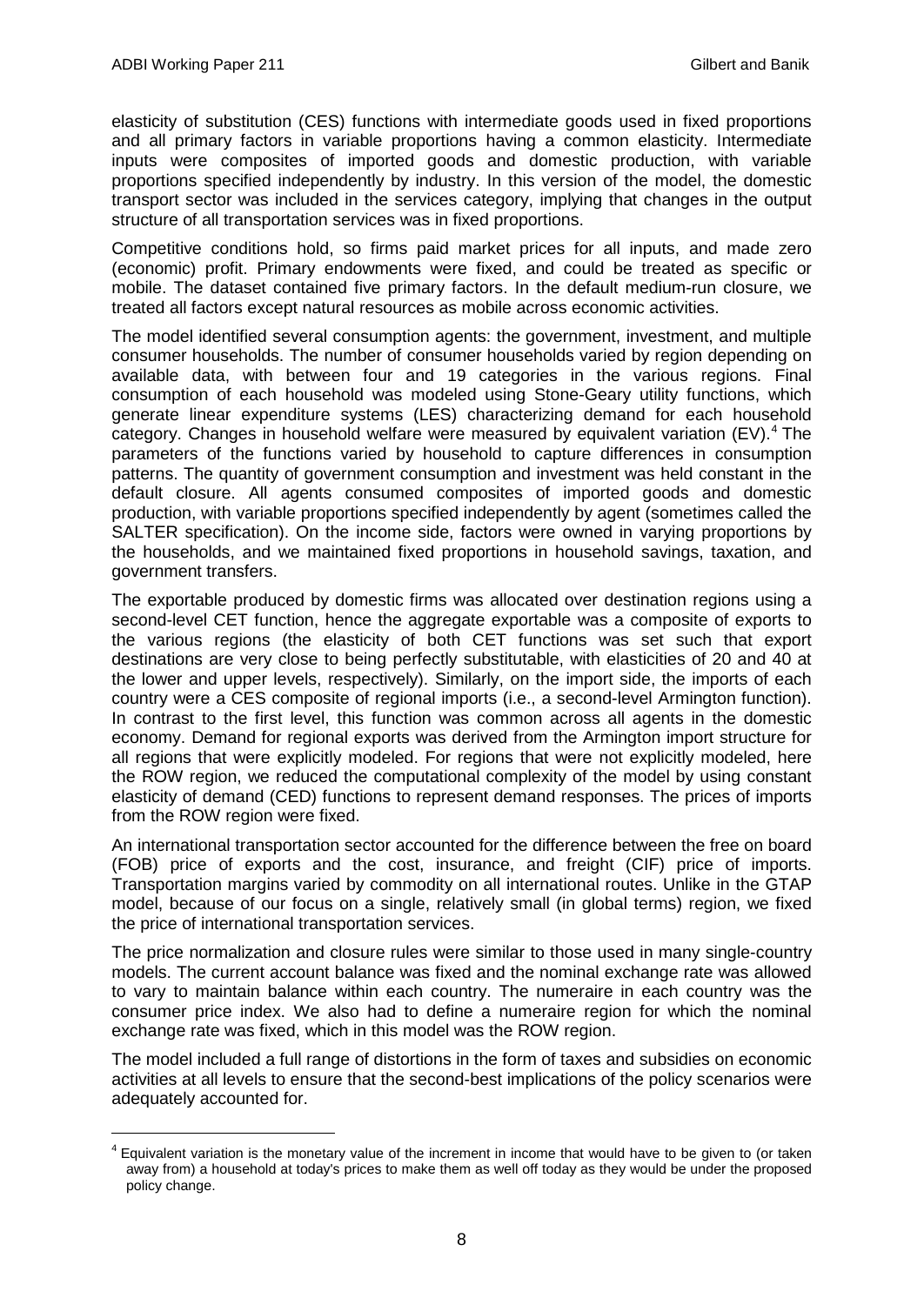elasticity of substitution (CES) functions with intermediate goods used in fixed proportions and all primary factors in variable proportions having a common elasticity. Intermediate inputs were composites of imported goods and domestic production, with variable proportions specified independently by industry. In this version of the model, the domestic transport sector was included in the services category, implying that changes in the output structure of all transportation services was in fixed proportions.

Competitive conditions hold, so firms paid market prices for all inputs, and made zero (economic) profit. Primary endowments were fixed, and could be treated as specific or mobile. The dataset contained five primary factors. In the default medium-run closure, we treated all factors except natural resources as mobile across economic activities.

The model identified several consumption agents: the government, investment, and multiple consumer households. The number of consumer households varied by region depending on available data, with between four and 19 categories in the various regions. Final consumption of each household was modeled using Stone-Geary utility functions, which generate linear expenditure systems (LES) characterizing demand for each household category. Changes in household welfare were measured by equivalent variation (EV).<sup>[4](#page-11-0)</sup> The parameters of the functions varied by household to capture differences in consumption patterns. The quantity of government consumption and investment was held constant in the default closure. All agents consumed composites of imported goods and domestic production, with variable proportions specified independently by agent (sometimes called the SALTER specification). On the income side, factors were owned in varying proportions by the households, and we maintained fixed proportions in household savings, taxation, and government transfers.

The exportable produced by domestic firms was allocated over destination regions using a second-level CET function, hence the aggregate exportable was a composite of exports to the various regions (the elasticity of both CET functions was set such that export destinations are very close to being perfectly substitutable, with elasticities of 20 and 40 at the lower and upper levels, respectively). Similarly, on the import side, the imports of each country were a CES composite of regional imports (i.e., a second-level Armington function). In contrast to the first level, this function was common across all agents in the domestic economy. Demand for regional exports was derived from the Armington import structure for all regions that were explicitly modeled. For regions that were not explicitly modeled, here the ROW region, we reduced the computational complexity of the model by using constant elasticity of demand (CED) functions to represent demand responses. The prices of imports from the ROW region were fixed.

An international transportation sector accounted for the difference between the free on board (FOB) price of exports and the cost, insurance, and freight (CIF) price of imports. Transportation margins varied by commodity on all international routes. Unlike in the GTAP model, because of our focus on a single, relatively small (in global terms) region, we fixed the price of international transportation services.

The price normalization and closure rules were similar to those used in many single-country models. The current account balance was fixed and the nominal exchange rate was allowed to vary to maintain balance within each country. The numeraire in each country was the consumer price index. We also had to define a numeraire region for which the nominal exchange rate was fixed, which in this model was the ROW region.

The model included a full range of distortions in the form of taxes and subsidies on economic activities at all levels to ensure that the second-best implications of the policy scenarios were adequately accounted for.

<span id="page-11-0"></span> $4$  Equivalent variation is the monetary value of the increment in income that would have to be given to (or taken away from) a household at today's prices to make them as well off today as they would be under the proposed policy change.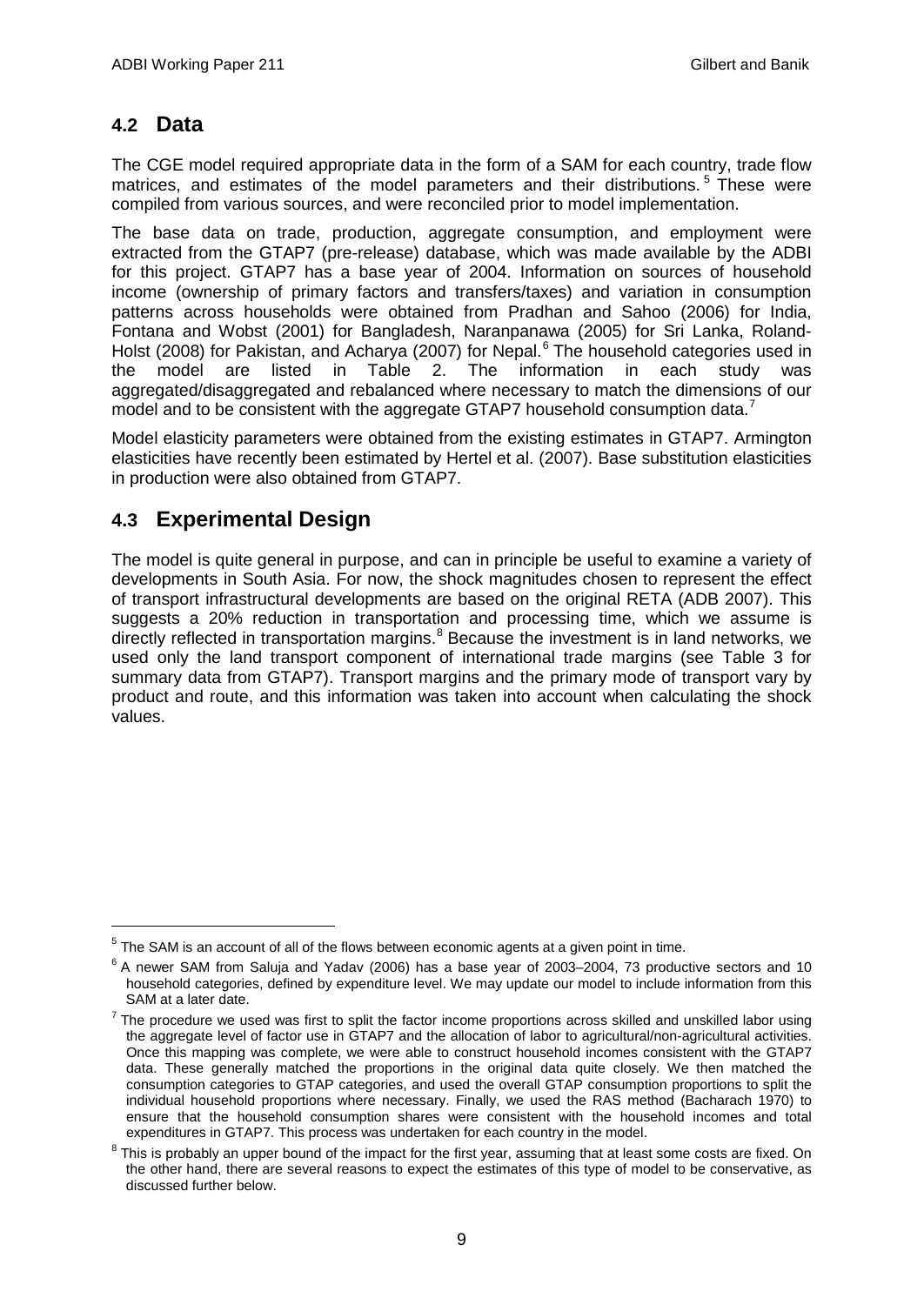#### <span id="page-12-0"></span>**4.2 Data**

The CGE model required appropriate data in the form of a SAM for each country, trade flow matrices, and estimates of the model parameters and their distributions.<sup>[5](#page-12-2)</sup> These were compiled from various sources, and were reconciled prior to model implementation.

The base data on trade, production, aggregate consumption, and employment were extracted from the GTAP7 (pre-release) database, which was made available by the ADBI for this project. GTAP7 has a base year of 2004. Information on sources of household income (ownership of primary factors and transfers/taxes) and variation in consumption patterns across households were obtained from Pradhan and Sahoo (2006) for India, Fontana and Wobst (2001) for Bangladesh, Naranpanawa (2005) for Sri Lanka, Roland-Holst (2008) for Pakistan, and Acharya (2007) for Nepal.<sup>[6](#page-12-3)</sup> The household categories used in the model are listed in Table 2. The information in each study was aggregated/disaggregated and rebalanced where necessary to match the dimensions of our model and to be consistent with the aggregate GTAP[7](#page-12-4) household consumption data.<sup>7</sup>

Model elasticity parameters were obtained from the existing estimates in GTAP7. Armington elasticities have recently been estimated by Hertel et al. (2007). Base substitution elasticities in production were also obtained from GTAP7.

## <span id="page-12-1"></span>**4.3 Experimental Design**

The model is quite general in purpose, and can in principle be useful to examine a variety of developments in South Asia. For now, the shock magnitudes chosen to represent the effect of transport infrastructural developments are based on the original RETA (ADB 2007). This suggests a 20% reduction in transportation and processing time, which we assume is directly reflected in transportation margins.<sup>[8](#page-12-5)</sup> Because the investment is in land networks, we used only the land transport component of international trade margins (see Table 3 for summary data from GTAP7). Transport margins and the primary mode of transport vary by product and route, and this information was taken into account when calculating the shock values.

<span id="page-12-2"></span> $5$  The SAM is an account of all of the flows between economic agents at a given point in time.

<span id="page-12-3"></span> $6$  A newer SAM from Saluja and Yadav (2006) has a base year of 2003–2004, 73 productive sectors and 10 household categories, defined by expenditure level. We may update our model to include information from this SAM at a later date.

<span id="page-12-4"></span> $7$  The procedure we used was first to split the factor income proportions across skilled and unskilled labor using the aggregate level of factor use in GTAP7 and the allocation of labor to agricultural/non-agricultural activities. Once this mapping was complete, we were able to construct household incomes consistent with the GTAP7 data. These generally matched the proportions in the original data quite closely. We then matched the consumption categories to GTAP categories, and used the overall GTAP consumption proportions to split the individual household proportions where necessary. Finally, we used the RAS method (Bacharach 1970) to ensure that the household consumption shares were consistent with the household incomes and total expenditures in GTAP7. This process was undertaken for each country in the model.

<span id="page-12-5"></span>This is probably an upper bound of the impact for the first year, assuming that at least some costs are fixed. On the other hand, there are several reasons to expect the estimates of this type of model to be conservative, as discussed further below.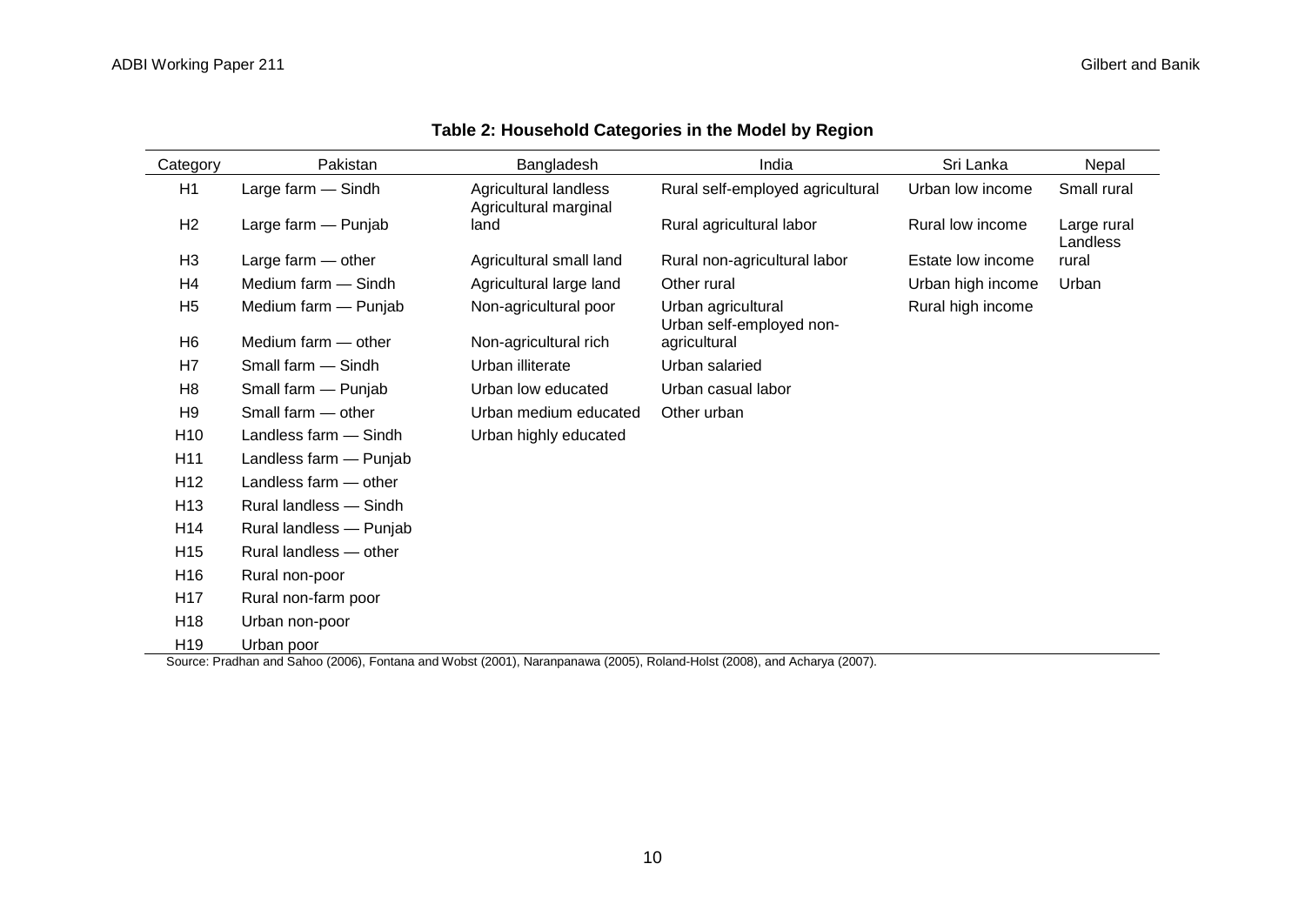| Category        | Pakistan                | Bangladesh                                     | India                                                                                                              | Sri Lanka         | Nepal                   |
|-----------------|-------------------------|------------------------------------------------|--------------------------------------------------------------------------------------------------------------------|-------------------|-------------------------|
| H1              | Large farm $-$ Sindh    | Agricultural landless<br>Agricultural marginal | Rural self-employed agricultural                                                                                   | Urban low income  | Small rural             |
| H <sub>2</sub>  | Large farm - Punjab     | land                                           | Rural agricultural labor                                                                                           | Rural low income  | Large rural<br>Landless |
| H <sub>3</sub>  | Large farm $-$ other    | Agricultural small land                        | Rural non-agricultural labor                                                                                       | Estate low income | rural                   |
| H4              | Medium farm - Sindh     | Agricultural large land                        | Other rural                                                                                                        | Urban high income | Urban                   |
| H <sub>5</sub>  | Medium farm - Punjab    | Non-agricultural poor                          | Urban agricultural<br>Urban self-employed non-                                                                     | Rural high income |                         |
| H <sub>6</sub>  | Medium farm – other     | Non-agricultural rich                          | agricultural                                                                                                       |                   |                         |
| H7              | Small farm - Sindh      | Urban illiterate                               | Urban salaried                                                                                                     |                   |                         |
| H <sub>8</sub>  | Small farm - Punjab     | Urban low educated                             | Urban casual labor                                                                                                 |                   |                         |
| H <sub>9</sub>  | Small farm - other      | Urban medium educated                          | Other urban                                                                                                        |                   |                         |
| H <sub>10</sub> | Landless farm – Sindh   | Urban highly educated                          |                                                                                                                    |                   |                         |
| H11             | Landless farm - Punjab  |                                                |                                                                                                                    |                   |                         |
| H <sub>12</sub> | Landless farm – other   |                                                |                                                                                                                    |                   |                         |
| H <sub>13</sub> | Rural landless - Sindh  |                                                |                                                                                                                    |                   |                         |
| H14             | Rural landless - Punjab |                                                |                                                                                                                    |                   |                         |
| H <sub>15</sub> | Rural landless - other  |                                                |                                                                                                                    |                   |                         |
| H <sub>16</sub> | Rural non-poor          |                                                |                                                                                                                    |                   |                         |
| H17             | Rural non-farm poor     |                                                |                                                                                                                    |                   |                         |
| H <sub>18</sub> | Urban non-poor          |                                                |                                                                                                                    |                   |                         |
| H <sub>19</sub> | Urban poor              |                                                | Course Prodhan and Cabos (2000) Eastern and Wabet (2001) Nerannonous (2005) Reland Holet (2000) and Asharin (2007) |                   |                         |

**Table 2: Household Categories in the Model by Region**

Source: Pradhan and Sahoo (2006), Fontana and Wobst (2001), Naranpanawa (2005), Roland-Holst (2008), and Acharya (2007).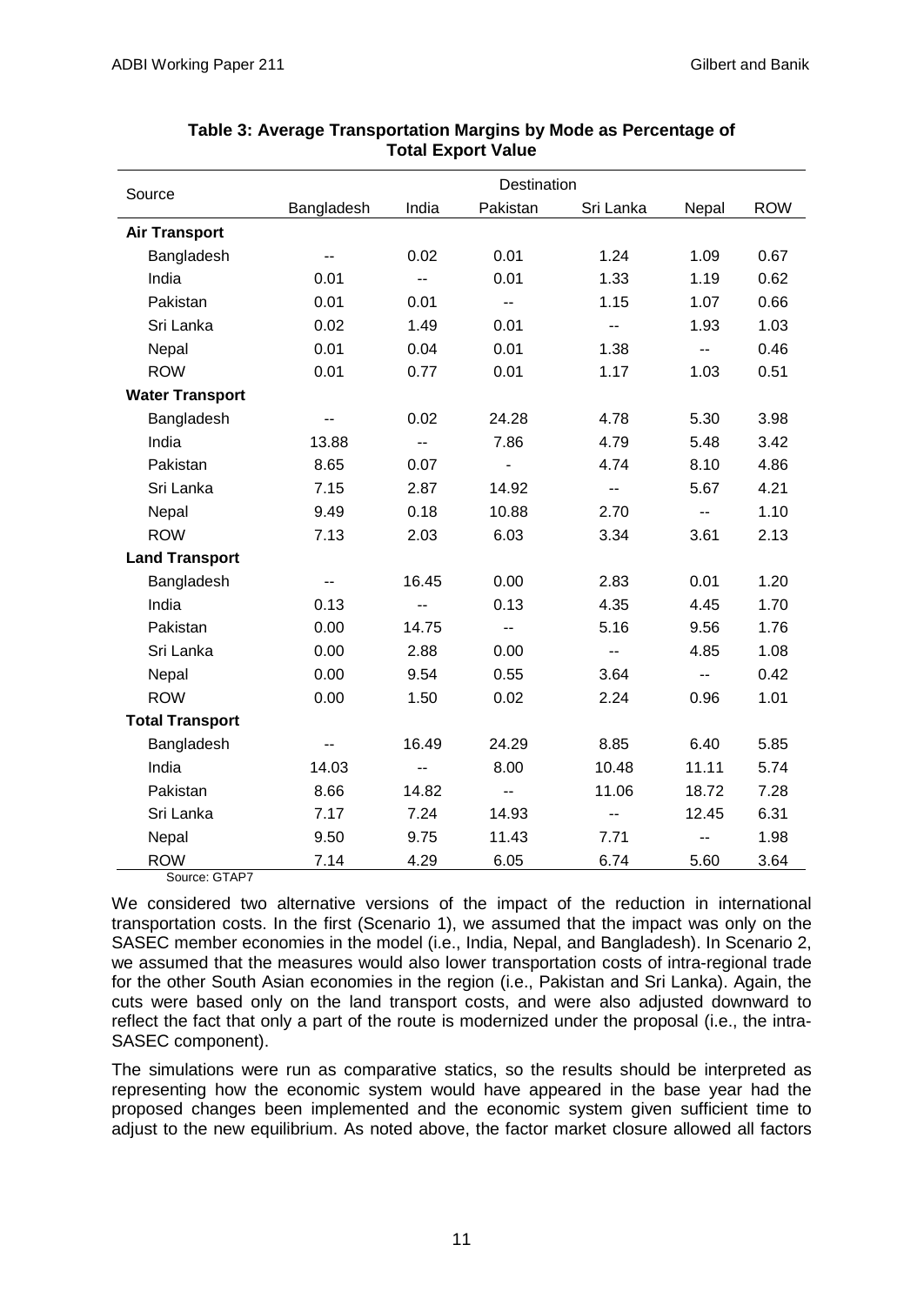| Source                 | Destination |                          |                           |                                               |                          |            |  |  |
|------------------------|-------------|--------------------------|---------------------------|-----------------------------------------------|--------------------------|------------|--|--|
|                        | Bangladesh  | India                    | Pakistan                  | Sri Lanka                                     | Nepal                    | <b>ROW</b> |  |  |
| <b>Air Transport</b>   |             |                          |                           |                                               |                          |            |  |  |
| Bangladesh             | --          | 0.02                     | 0.01                      | 1.24                                          | 1.09                     | 0.67       |  |  |
| India                  | 0.01        | $-$                      | 0.01                      | 1.33                                          | 1.19                     | 0.62       |  |  |
| Pakistan               | 0.01        | 0.01                     | $\mathbb{Z}^{\mathbb{Z}}$ | 1.15                                          | 1.07                     | 0.66       |  |  |
| Sri Lanka              | 0.02        | 1.49                     | 0.01                      | $\sim$                                        | 1.93                     | 1.03       |  |  |
| Nepal                  | 0.01        | 0.04                     | 0.01                      | 1.38                                          | $\overline{\phantom{a}}$ | 0.46       |  |  |
| <b>ROW</b>             | 0.01        | 0.77                     | 0.01                      | 1.17                                          | 1.03                     | 0.51       |  |  |
| <b>Water Transport</b> |             |                          |                           |                                               |                          |            |  |  |
| Bangladesh             | ۰.          | 0.02                     | 24.28                     | 4.78                                          | 5.30                     | 3.98       |  |  |
| India                  | 13.88       | --                       | 7.86                      | 4.79                                          | 5.48                     | 3.42       |  |  |
| Pakistan               | 8.65        | 0.07                     | $\overline{\phantom{a}}$  | 4.74                                          | 8.10                     | 4.86       |  |  |
| Sri Lanka              | 7.15        | 2.87                     | 14.92                     | $\mathord{\hspace{1pt}\text{--}\hspace{1pt}}$ | 5.67                     | 4.21       |  |  |
| Nepal                  | 9.49        | 0.18                     | 10.88                     | 2.70                                          | $\mathbf{u}$             | 1.10       |  |  |
| <b>ROW</b>             | 7.13        | 2.03                     | 6.03                      | 3.34                                          | 3.61                     | 2.13       |  |  |
| <b>Land Transport</b>  |             |                          |                           |                                               |                          |            |  |  |
| Bangladesh             | --          | 16.45                    | 0.00                      | 2.83                                          | 0.01                     | 1.20       |  |  |
| India                  | 0.13        | $-$                      | 0.13                      | 4.35                                          | 4.45                     | 1.70       |  |  |
| Pakistan               | 0.00        | 14.75                    | $\overline{\phantom{a}}$  | 5.16                                          | 9.56                     | 1.76       |  |  |
| Sri Lanka              | 0.00        | 2.88                     | 0.00                      | $\overline{\phantom{a}}$                      | 4.85                     | 1.08       |  |  |
| Nepal                  | 0.00        | 9.54                     | 0.55                      | 3.64                                          | $\overline{\phantom{a}}$ | 0.42       |  |  |
| <b>ROW</b>             | 0.00        | 1.50                     | 0.02                      | 2.24                                          | 0.96                     | 1.01       |  |  |
| <b>Total Transport</b> |             |                          |                           |                                               |                          |            |  |  |
| Bangladesh             |             | 16.49                    | 24.29                     | 8.85                                          | 6.40                     | 5.85       |  |  |
| India                  | 14.03       | $\overline{\phantom{a}}$ | 8.00                      | 10.48                                         | 11.11                    | 5.74       |  |  |
| Pakistan               | 8.66        | 14.82                    | ц.                        | 11.06                                         | 18.72                    | 7.28       |  |  |
| Sri Lanka              | 7.17        | 7.24                     | 14.93                     | $\overline{\phantom{a}}$                      | 12.45                    | 6.31       |  |  |
| Nepal                  | 9.50        | 9.75                     | 11.43                     | 7.71                                          | --                       | 1.98       |  |  |
| <b>ROW</b><br>27127    | 7.14        | 4.29                     | 6.05                      | 6.74                                          | 5.60                     | 3.64       |  |  |

#### **Table 3: Average Transportation Margins by Mode as Percentage of Total Export Value**

Source: GTAP7

We considered two alternative versions of the impact of the reduction in international transportation costs. In the first (Scenario 1), we assumed that the impact was only on the SASEC member economies in the model (i.e., India, Nepal, and Bangladesh). In Scenario 2, we assumed that the measures would also lower transportation costs of intra-regional trade for the other South Asian economies in the region (i.e., Pakistan and Sri Lanka). Again, the cuts were based only on the land transport costs, and were also adjusted downward to reflect the fact that only a part of the route is modernized under the proposal (i.e., the intra-SASEC component).

The simulations were run as comparative statics, so the results should be interpreted as representing how the economic system would have appeared in the base year had the proposed changes been implemented and the economic system given sufficient time to adjust to the new equilibrium. As noted above, the factor market closure allowed all factors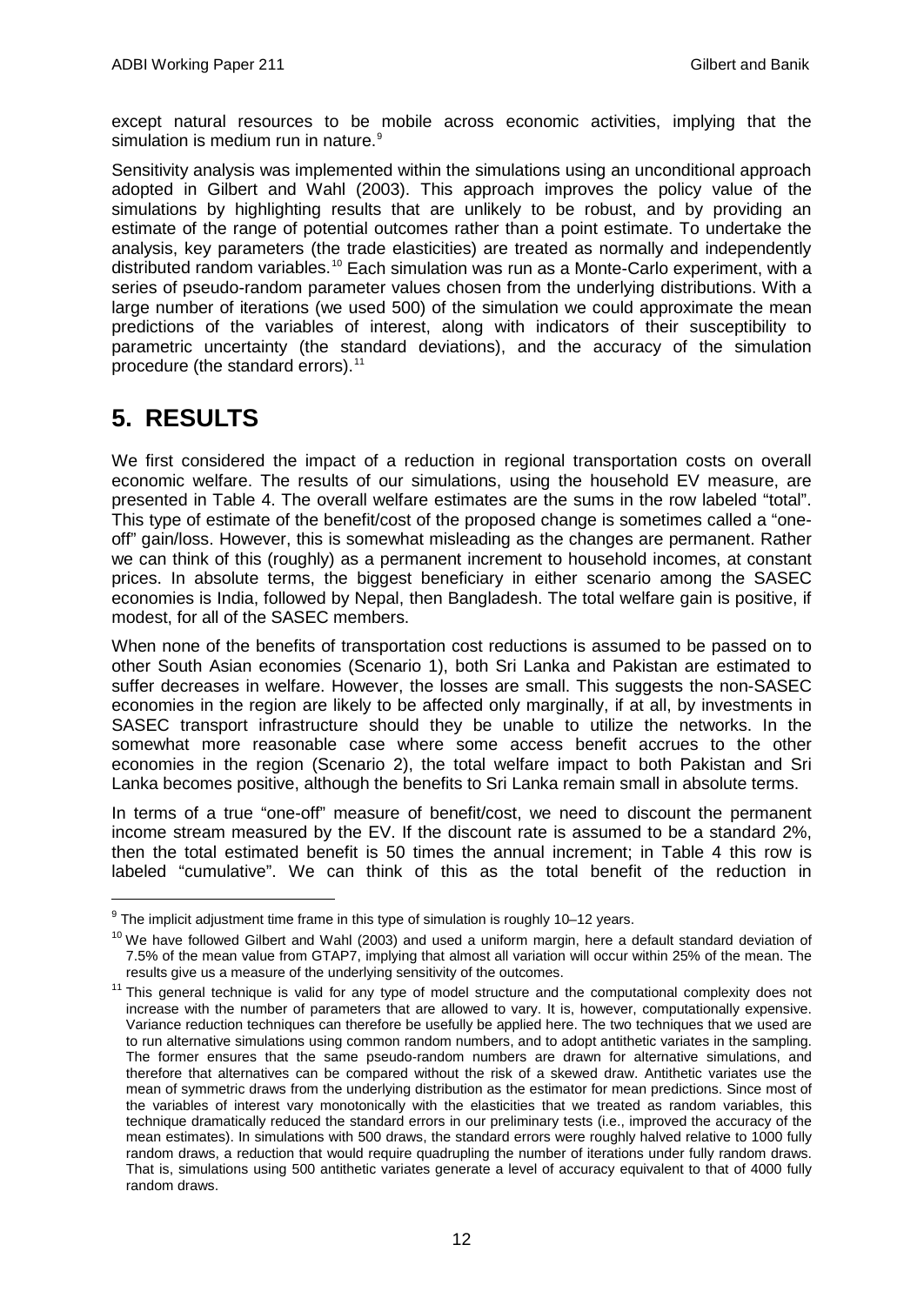except natural resources to be mobile across economic activities, implying that the simulation is medium run in nature.<sup>[9](#page-15-1)</sup>

Sensitivity analysis was implemented within the simulations using an unconditional approach adopted in Gilbert and Wahl (2003). This approach improves the policy value of the simulations by highlighting results that are unlikely to be robust, and by providing an estimate of the range of potential outcomes rather than a point estimate. To undertake the analysis, key parameters (the trade elasticities) are treated as normally and independently distributed random variables.[10](#page-15-2) Each simulation was run as a Monte-Carlo experiment, with a series of pseudo-random parameter values chosen from the underlying distributions. With a large number of iterations (we used 500) of the simulation we could approximate the mean predictions of the variables of interest, along with indicators of their susceptibility to parametric uncertainty (the standard deviations), and the accuracy of the simulation procedure (the standard errors).<sup>[11](#page-15-3)</sup>

## <span id="page-15-0"></span>**5. RESULTS**

We first considered the impact of a reduction in regional transportation costs on overall economic welfare. The results of our simulations, using the household EV measure, are presented in Table 4. The overall welfare estimates are the sums in the row labeled "total". This type of estimate of the benefit/cost of the proposed change is sometimes called a "oneoff" gain/loss. However, this is somewhat misleading as the changes are permanent. Rather we can think of this (roughly) as a permanent increment to household incomes, at constant prices. In absolute terms, the biggest beneficiary in either scenario among the SASEC economies is India, followed by Nepal, then Bangladesh. The total welfare gain is positive, if modest, for all of the SASEC members.

When none of the benefits of transportation cost reductions is assumed to be passed on to other South Asian economies (Scenario 1), both Sri Lanka and Pakistan are estimated to suffer decreases in welfare. However, the losses are small. This suggests the non-SASEC economies in the region are likely to be affected only marginally, if at all, by investments in SASEC transport infrastructure should they be unable to utilize the networks. In the somewhat more reasonable case where some access benefit accrues to the other economies in the region (Scenario 2), the total welfare impact to both Pakistan and Sri Lanka becomes positive, although the benefits to Sri Lanka remain small in absolute terms.

In terms of a true "one-off" measure of benefit/cost, we need to discount the permanent income stream measured by the EV. If the discount rate is assumed to be a standard 2%, then the total estimated benefit is 50 times the annual increment; in Table 4 this row is labeled "cumulative". We can think of this as the total benefit of the reduction in

<span id="page-15-1"></span> $9$  The implicit adjustment time frame in this type of simulation is roughly 10–12 years.

<span id="page-15-2"></span><sup>&</sup>lt;sup>10</sup> We have followed Gilbert and Wahl (2003) and used a uniform margin, here a default standard deviation of 7.5% of the mean value from GTAP7, implying that almost all variation will occur within 25% of the mean. The results give us a measure of the underlying sensitivity of the outcomes.

<span id="page-15-3"></span> $11$  This general technique is valid for any type of model structure and the computational complexity does not increase with the number of parameters that are allowed to vary. It is, however, computationally expensive. Variance reduction techniques can therefore be usefully be applied here. The two techniques that we used are to run alternative simulations using common random numbers, and to adopt antithetic variates in the sampling. The former ensures that the same pseudo-random numbers are drawn for alternative simulations, and therefore that alternatives can be compared without the risk of a skewed draw. Antithetic variates use the mean of symmetric draws from the underlying distribution as the estimator for mean predictions. Since most of the variables of interest vary monotonically with the elasticities that we treated as random variables, this technique dramatically reduced the standard errors in our preliminary tests (i.e., improved the accuracy of the mean estimates). In simulations with 500 draws, the standard errors were roughly halved relative to 1000 fully random draws, a reduction that would require quadrupling the number of iterations under fully random draws. That is, simulations using 500 antithetic variates generate a level of accuracy equivalent to that of 4000 fully random draws.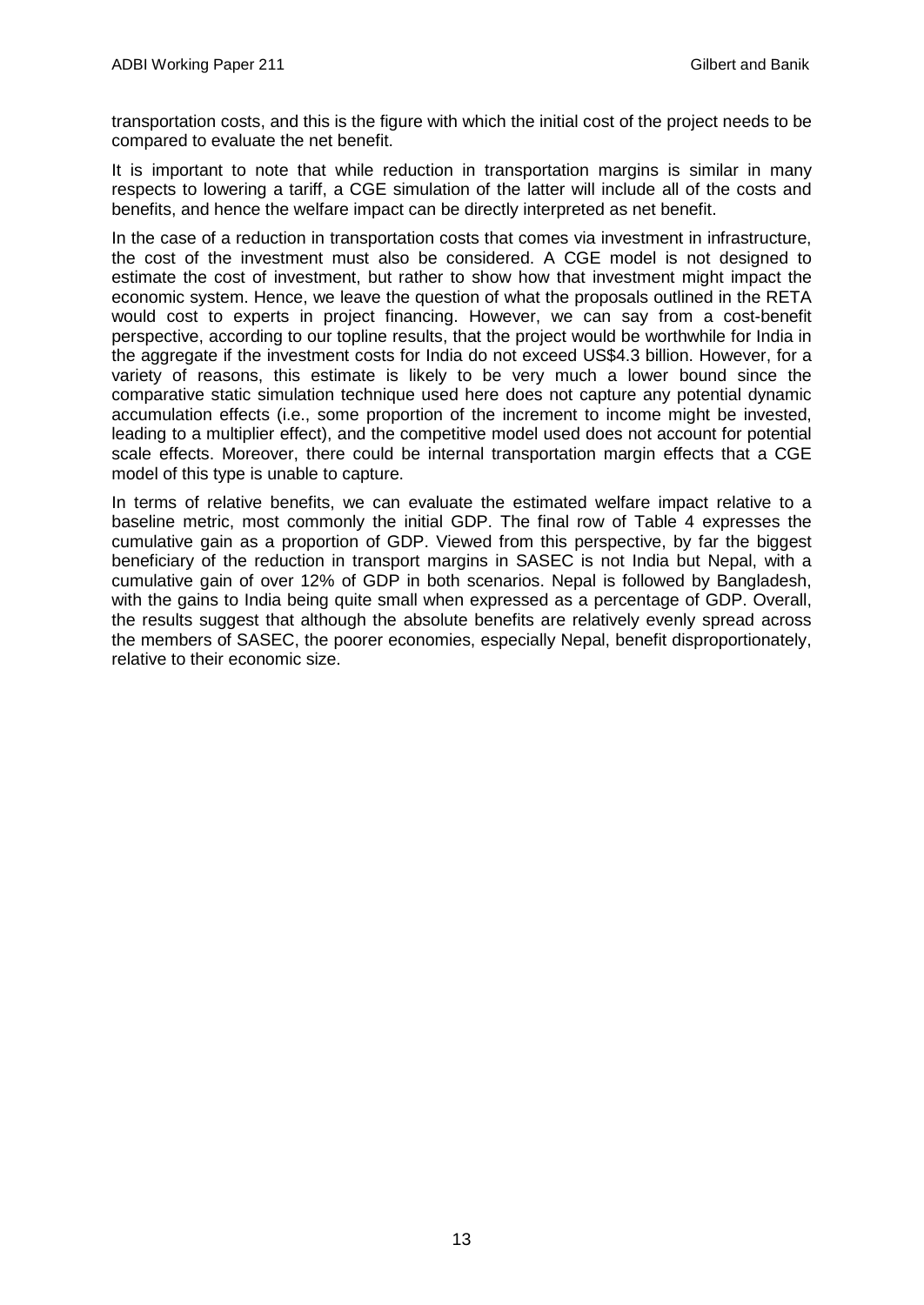transportation costs, and this is the figure with which the initial cost of the project needs to be compared to evaluate the net benefit.

It is important to note that while reduction in transportation margins is similar in many respects to lowering a tariff, a CGE simulation of the latter will include all of the costs and benefits, and hence the welfare impact can be directly interpreted as net benefit.

In the case of a reduction in transportation costs that comes via investment in infrastructure, the cost of the investment must also be considered. A CGE model is not designed to estimate the cost of investment, but rather to show how that investment might impact the economic system. Hence, we leave the question of what the proposals outlined in the RETA would cost to experts in project financing. However, we can say from a cost-benefit perspective, according to our topline results, that the project would be worthwhile for India in the aggregate if the investment costs for India do not exceed US\$4.3 billion. However, for a variety of reasons, this estimate is likely to be very much a lower bound since the comparative static simulation technique used here does not capture any potential dynamic accumulation effects (i.e., some proportion of the increment to income might be invested, leading to a multiplier effect), and the competitive model used does not account for potential scale effects. Moreover, there could be internal transportation margin effects that a CGE model of this type is unable to capture.

In terms of relative benefits, we can evaluate the estimated welfare impact relative to a baseline metric, most commonly the initial GDP. The final row of Table 4 expresses the cumulative gain as a proportion of GDP. Viewed from this perspective, by far the biggest beneficiary of the reduction in transport margins in SASEC is not India but Nepal, with a cumulative gain of over 12% of GDP in both scenarios. Nepal is followed by Bangladesh, with the gains to India being quite small when expressed as a percentage of GDP. Overall, the results suggest that although the absolute benefits are relatively evenly spread across the members of SASEC, the poorer economies, especially Nepal, benefit disproportionately, relative to their economic size.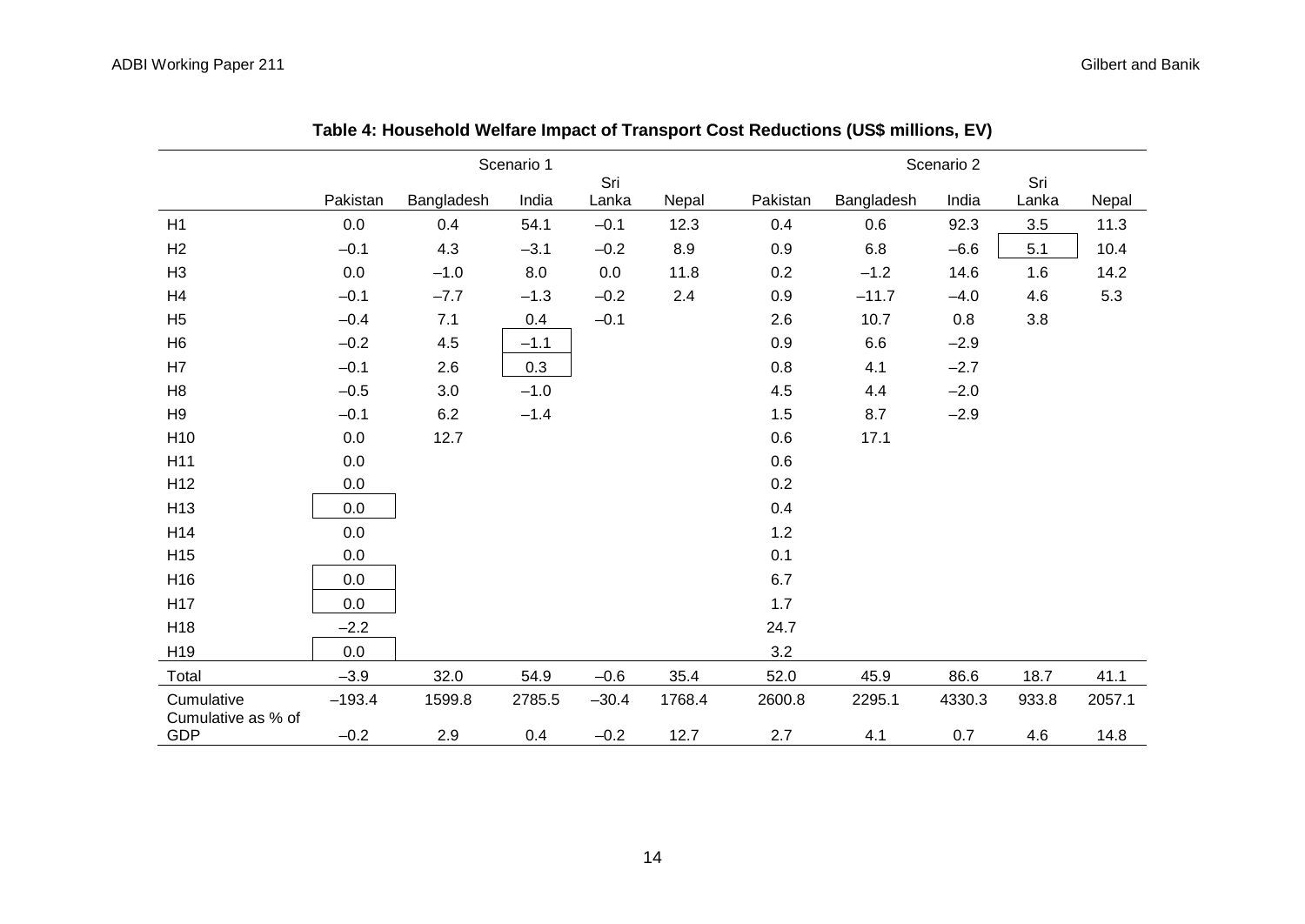|                                  |          |            | Scenario 1 |              |        |          |            | Scenario 2 |              |        |
|----------------------------------|----------|------------|------------|--------------|--------|----------|------------|------------|--------------|--------|
|                                  | Pakistan | Bangladesh | India      | Sri<br>Lanka | Nepal  | Pakistan | Bangladesh | India      | Sri<br>Lanka | Nepal  |
| H1                               | $0.0\,$  | 0.4        | 54.1       | $-0.1$       | 12.3   | 0.4      | 0.6        | 92.3       | 3.5          | 11.3   |
| H <sub>2</sub>                   | $-0.1$   | 4.3        | $-3.1$     | $-0.2$       | 8.9    | 0.9      | 6.8        | $-6.6$     | 5.1          | 10.4   |
| H <sub>3</sub>                   | 0.0      | $-1.0$     | 8.0        | 0.0          | 11.8   | 0.2      | $-1.2$     | 14.6       | 1.6          | 14.2   |
| H <sub>4</sub>                   | $-0.1$   | $-7.7$     | $-1.3$     | $-0.2$       | 2.4    | 0.9      | $-11.7$    | $-4.0$     | 4.6          | 5.3    |
| H <sub>5</sub>                   | $-0.4$   | 7.1        | 0.4        | $-0.1$       |        | 2.6      | 10.7       | 0.8        | 3.8          |        |
| H <sub>6</sub>                   | $-0.2$   | 4.5        | $-1.1$     |              |        | 0.9      | 6.6        | $-2.9$     |              |        |
| H7                               | $-0.1$   | 2.6        | 0.3        |              |        | $0.8\,$  | 4.1        | $-2.7$     |              |        |
| H <sub>8</sub>                   | $-0.5$   | $3.0\,$    | $-1.0$     |              |        | 4.5      | 4.4        | $-2.0$     |              |        |
| H <sub>9</sub>                   | $-0.1$   | 6.2        | $-1.4$     |              |        | 1.5      | 8.7        | $-2.9$     |              |        |
| H <sub>10</sub>                  | 0.0      | 12.7       |            |              |        | 0.6      | 17.1       |            |              |        |
| H11                              | $0.0\,$  |            |            |              |        | 0.6      |            |            |              |        |
| H <sub>12</sub>                  | 0.0      |            |            |              |        | 0.2      |            |            |              |        |
| H <sub>13</sub>                  | 0.0      |            |            |              |        | 0.4      |            |            |              |        |
| H14                              | 0.0      |            |            |              |        | 1.2      |            |            |              |        |
| H <sub>15</sub>                  | 0.0      |            |            |              |        | 0.1      |            |            |              |        |
| H16                              | 0.0      |            |            |              |        | 6.7      |            |            |              |        |
| H17                              | $0.0\,$  |            |            |              |        | 1.7      |            |            |              |        |
| H18                              | $-2.2$   |            |            |              |        | 24.7     |            |            |              |        |
| H19                              | 0.0      |            |            |              |        | 3.2      |            |            |              |        |
| Total                            | $-3.9$   | 32.0       | 54.9       | $-0.6$       | 35.4   | 52.0     | 45.9       | 86.6       | 18.7         | 41.1   |
| Cumulative<br>Cumulative as % of | $-193.4$ | 1599.8     | 2785.5     | $-30.4$      | 1768.4 | 2600.8   | 2295.1     | 4330.3     | 933.8        | 2057.1 |
| GDP                              | $-0.2$   | 2.9        | 0.4        | $-0.2$       | 12.7   | 2.7      | 4.1        | 0.7        | 4.6          | 14.8   |

| Table 4: Household Welfare Impact of Transport Cost Reductions (US\$ millions, EV) |
|------------------------------------------------------------------------------------|
|                                                                                    |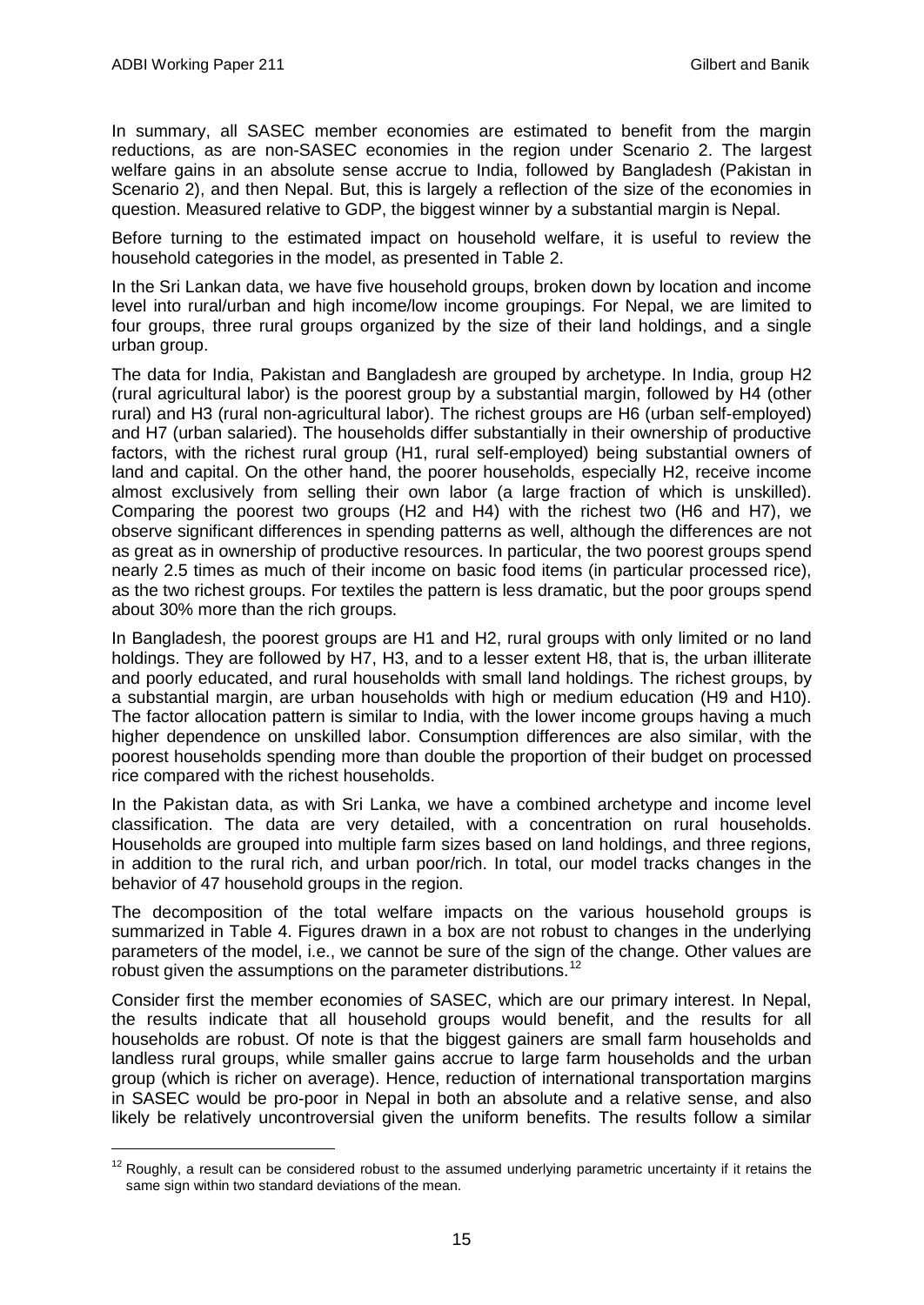In summary, all SASEC member economies are estimated to benefit from the margin reductions, as are non-SASEC economies in the region under Scenario 2. The largest welfare gains in an absolute sense accrue to India, followed by Bangladesh (Pakistan in Scenario 2), and then Nepal. But, this is largely a reflection of the size of the economies in question. Measured relative to GDP, the biggest winner by a substantial margin is Nepal.

Before turning to the estimated impact on household welfare, it is useful to review the household categories in the model, as presented in Table 2.

In the Sri Lankan data, we have five household groups, broken down by location and income level into rural/urban and high income/low income groupings. For Nepal, we are limited to four groups, three rural groups organized by the size of their land holdings, and a single urban group.

The data for India, Pakistan and Bangladesh are grouped by archetype. In India, group H2 (rural agricultural labor) is the poorest group by a substantial margin, followed by H4 (other rural) and H3 (rural non-agricultural labor). The richest groups are H6 (urban self-employed) and H7 (urban salaried). The households differ substantially in their ownership of productive factors, with the richest rural group (H1, rural self-employed) being substantial owners of land and capital. On the other hand, the poorer households, especially H2, receive income almost exclusively from selling their own labor (a large fraction of which is unskilled). Comparing the poorest two groups (H2 and H4) with the richest two (H6 and H7), we observe significant differences in spending patterns as well, although the differences are not as great as in ownership of productive resources. In particular, the two poorest groups spend nearly 2.5 times as much of their income on basic food items (in particular processed rice), as the two richest groups. For textiles the pattern is less dramatic, but the poor groups spend about 30% more than the rich groups.

In Bangladesh, the poorest groups are H1 and H2, rural groups with only limited or no land holdings. They are followed by H7, H3, and to a lesser extent H8, that is, the urban illiterate and poorly educated, and rural households with small land holdings. The richest groups, by a substantial margin, are urban households with high or medium education (H9 and H10). The factor allocation pattern is similar to India, with the lower income groups having a much higher dependence on unskilled labor. Consumption differences are also similar, with the poorest households spending more than double the proportion of their budget on processed rice compared with the richest households.

In the Pakistan data, as with Sri Lanka, we have a combined archetype and income level classification. The data are very detailed, with a concentration on rural households. Households are grouped into multiple farm sizes based on land holdings, and three regions, in addition to the rural rich, and urban poor/rich. In total, our model tracks changes in the behavior of 47 household groups in the region.

The decomposition of the total welfare impacts on the various household groups is summarized in Table 4. Figures drawn in a box are not robust to changes in the underlying parameters of the model, i.e., we cannot be sure of the sign of the change. Other values are robust given the assumptions on the parameter distributions.<sup>[12](#page-18-0)</sup>

Consider first the member economies of SASEC, which are our primary interest. In Nepal, the results indicate that all household groups would benefit, and the results for all households are robust. Of note is that the biggest gainers are small farm households and landless rural groups, while smaller gains accrue to large farm households and the urban group (which is richer on average). Hence, reduction of international transportation margins in SASEC would be pro-poor in Nepal in both an absolute and a relative sense, and also likely be relatively uncontroversial given the uniform benefits. The results follow a similar

<span id="page-18-0"></span> $12$  Roughly, a result can be considered robust to the assumed underlying parametric uncertainty if it retains the same sign within two standard deviations of the mean.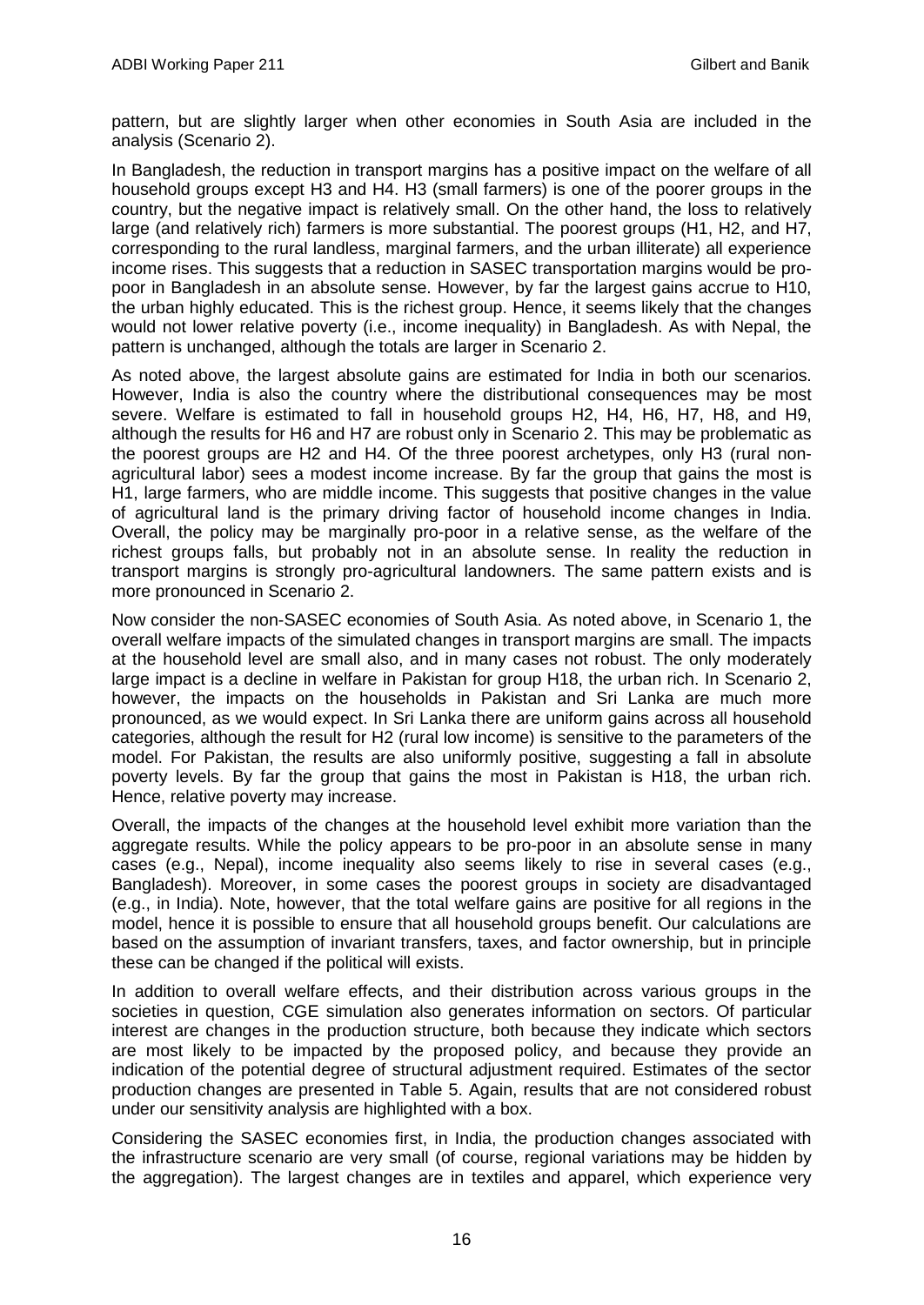pattern, but are slightly larger when other economies in South Asia are included in the analysis (Scenario 2).

In Bangladesh, the reduction in transport margins has a positive impact on the welfare of all household groups except H3 and H4. H3 (small farmers) is one of the poorer groups in the country, but the negative impact is relatively small. On the other hand, the loss to relatively large (and relatively rich) farmers is more substantial. The poorest groups (H1, H2, and H7, corresponding to the rural landless, marginal farmers, and the urban illiterate) all experience income rises. This suggests that a reduction in SASEC transportation margins would be propoor in Bangladesh in an absolute sense. However, by far the largest gains accrue to H10, the urban highly educated. This is the richest group. Hence, it seems likely that the changes would not lower relative poverty (i.e., income inequality) in Bangladesh. As with Nepal, the pattern is unchanged, although the totals are larger in Scenario 2.

As noted above, the largest absolute gains are estimated for India in both our scenarios. However, India is also the country where the distributional consequences may be most severe. Welfare is estimated to fall in household groups H2, H4, H6, H7, H8, and H9, although the results for H6 and H7 are robust only in Scenario 2. This may be problematic as the poorest groups are H2 and H4. Of the three poorest archetypes, only H3 (rural nonagricultural labor) sees a modest income increase. By far the group that gains the most is H1, large farmers, who are middle income. This suggests that positive changes in the value of agricultural land is the primary driving factor of household income changes in India. Overall, the policy may be marginally pro-poor in a relative sense, as the welfare of the richest groups falls, but probably not in an absolute sense. In reality the reduction in transport margins is strongly pro-agricultural landowners. The same pattern exists and is more pronounced in Scenario 2.

Now consider the non-SASEC economies of South Asia. As noted above, in Scenario 1, the overall welfare impacts of the simulated changes in transport margins are small. The impacts at the household level are small also, and in many cases not robust. The only moderately large impact is a decline in welfare in Pakistan for group H18, the urban rich. In Scenario 2, however, the impacts on the households in Pakistan and Sri Lanka are much more pronounced, as we would expect. In Sri Lanka there are uniform gains across all household categories, although the result for H2 (rural low income) is sensitive to the parameters of the model. For Pakistan, the results are also uniformly positive, suggesting a fall in absolute poverty levels. By far the group that gains the most in Pakistan is H18, the urban rich. Hence, relative poverty may increase.

Overall, the impacts of the changes at the household level exhibit more variation than the aggregate results. While the policy appears to be pro-poor in an absolute sense in many cases (e.g., Nepal), income inequality also seems likely to rise in several cases (e.g., Bangladesh). Moreover, in some cases the poorest groups in society are disadvantaged (e.g., in India). Note, however, that the total welfare gains are positive for all regions in the model, hence it is possible to ensure that all household groups benefit. Our calculations are based on the assumption of invariant transfers, taxes, and factor ownership, but in principle these can be changed if the political will exists.

In addition to overall welfare effects, and their distribution across various groups in the societies in question, CGE simulation also generates information on sectors. Of particular interest are changes in the production structure, both because they indicate which sectors are most likely to be impacted by the proposed policy, and because they provide an indication of the potential degree of structural adjustment required. Estimates of the sector production changes are presented in Table 5. Again, results that are not considered robust under our sensitivity analysis are highlighted with a box.

Considering the SASEC economies first, in India, the production changes associated with the infrastructure scenario are very small (of course, regional variations may be hidden by the aggregation). The largest changes are in textiles and apparel, which experience very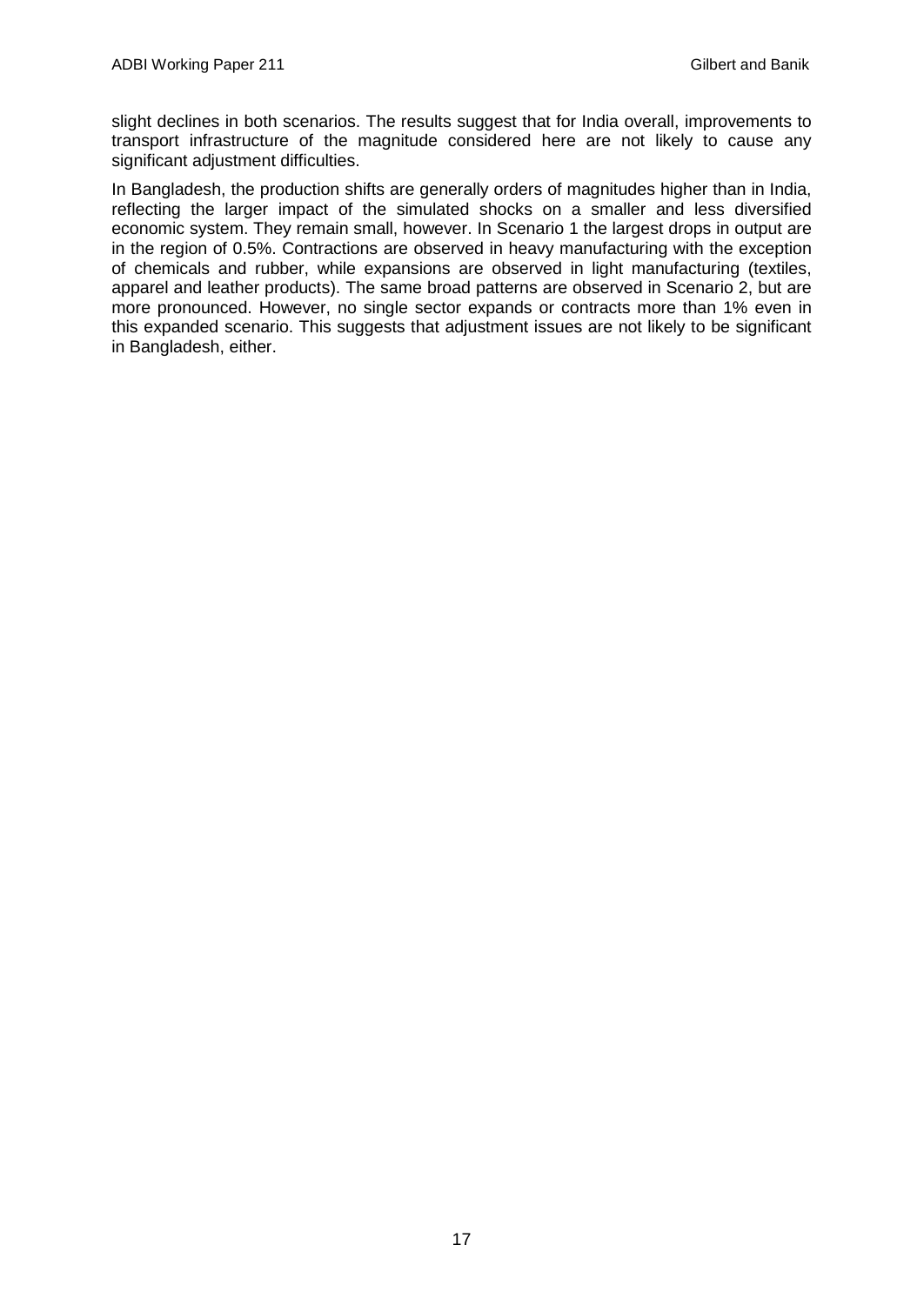slight declines in both scenarios. The results suggest that for India overall, improvements to transport infrastructure of the magnitude considered here are not likely to cause any significant adjustment difficulties.

In Bangladesh, the production shifts are generally orders of magnitudes higher than in India, reflecting the larger impact of the simulated shocks on a smaller and less diversified economic system. They remain small, however. In Scenario 1 the largest drops in output are in the region of 0.5%. Contractions are observed in heavy manufacturing with the exception of chemicals and rubber, while expansions are observed in light manufacturing (textiles, apparel and leather products). The same broad patterns are observed in Scenario 2, but are more pronounced. However, no single sector expands or contracts more than 1% even in this expanded scenario. This suggests that adjustment issues are not likely to be significant in Bangladesh, either.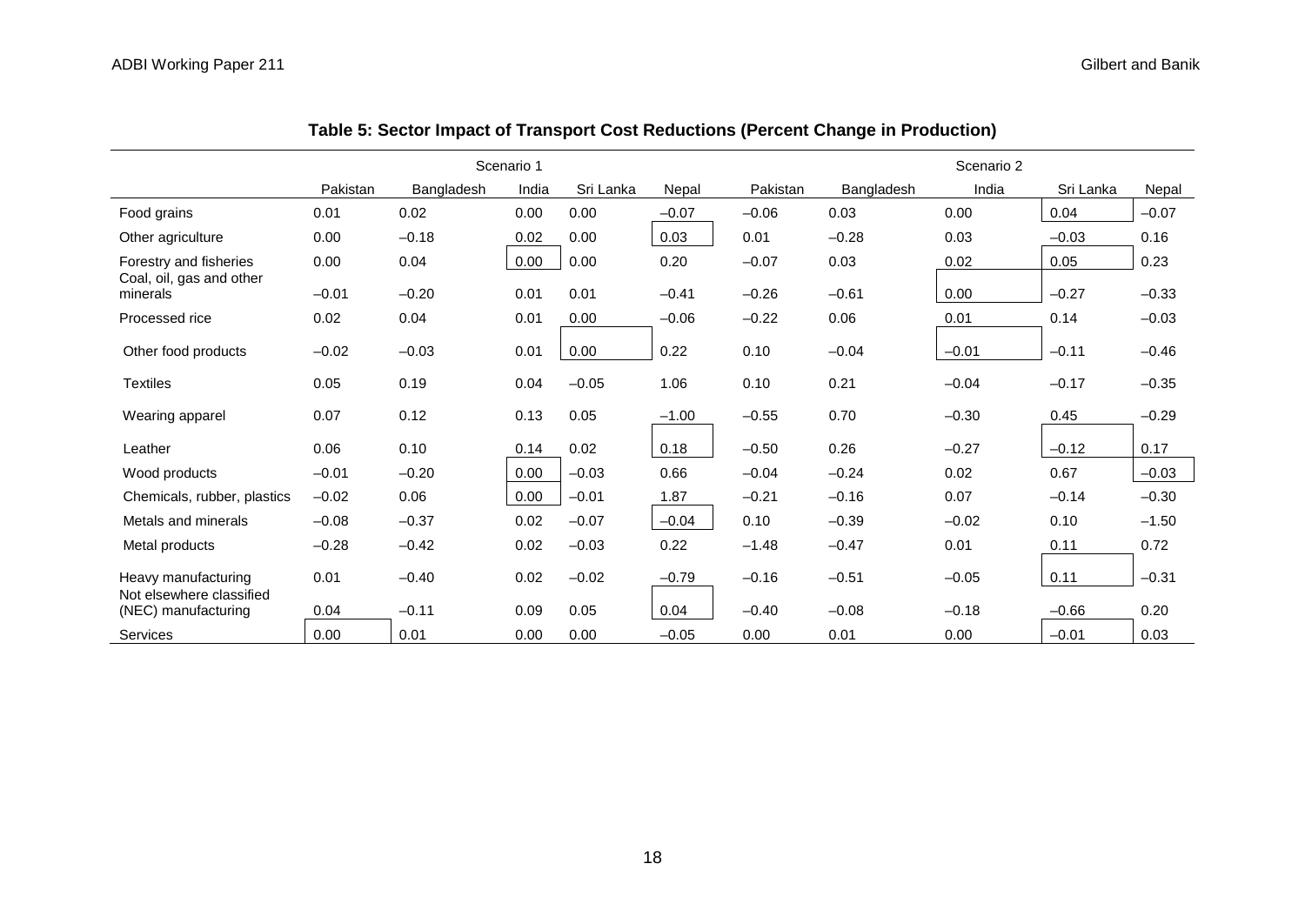|                                                    | Scenario 1 |            |       |           |         | Scenario 2 |            |         |           |         |
|----------------------------------------------------|------------|------------|-------|-----------|---------|------------|------------|---------|-----------|---------|
|                                                    | Pakistan   | Bangladesh | India | Sri Lanka | Nepal   | Pakistan   | Bangladesh | India   | Sri Lanka | Nepal   |
| Food grains                                        | 0.01       | 0.02       | 0.00  | 0.00      | $-0.07$ | $-0.06$    | 0.03       | 0.00    | 0.04      | $-0.07$ |
| Other agriculture                                  | 0.00       | $-0.18$    | 0.02  | 0.00      | 0.03    | 0.01       | $-0.28$    | 0.03    | $-0.03$   | 0.16    |
| Forestry and fisheries<br>Coal, oil, gas and other | 0.00       | 0.04       | 0.00  | 0.00      | 0.20    | $-0.07$    | 0.03       | 0.02    | 0.05      | 0.23    |
| minerals                                           | $-0.01$    | $-0.20$    | 0.01  | 0.01      | $-0.41$ | $-0.26$    | $-0.61$    | 0.00    | $-0.27$   | $-0.33$ |
| Processed rice                                     | 0.02       | 0.04       | 0.01  | 0.00      | $-0.06$ | $-0.22$    | 0.06       | 0.01    | 0.14      | $-0.03$ |
| Other food products                                | $-0.02$    | $-0.03$    | 0.01  | 0.00      | 0.22    | 0.10       | $-0.04$    | $-0.01$ | $-0.11$   | $-0.46$ |
| <b>Textiles</b>                                    | 0.05       | 0.19       | 0.04  | $-0.05$   | 1.06    | 0.10       | 0.21       | $-0.04$ | $-0.17$   | $-0.35$ |
| Wearing apparel                                    | 0.07       | 0.12       | 0.13  | 0.05      | $-1.00$ | $-0.55$    | 0.70       | $-0.30$ | 0.45      | $-0.29$ |
| Leather                                            | 0.06       | 0.10       | 0.14  | 0.02      | 0.18    | $-0.50$    | 0.26       | $-0.27$ | $-0.12$   | 0.17    |
| Wood products                                      | $-0.01$    | $-0.20$    | 0.00  | $-0.03$   | 0.66    | $-0.04$    | $-0.24$    | 0.02    | 0.67      | $-0.03$ |
| Chemicals, rubber, plastics                        | $-0.02$    | 0.06       | 0.00  | $-0.01$   | 1.87    | $-0.21$    | $-0.16$    | 0.07    | $-0.14$   | $-0.30$ |
| Metals and minerals                                | $-0.08$    | $-0.37$    | 0.02  | $-0.07$   | $-0.04$ | 0.10       | $-0.39$    | $-0.02$ | 0.10      | $-1.50$ |
| Metal products                                     | $-0.28$    | $-0.42$    | 0.02  | $-0.03$   | 0.22    | $-1.48$    | $-0.47$    | 0.01    | 0.11      | 0.72    |
| Heavy manufacturing<br>Not elsewhere classified    | 0.01       | $-0.40$    | 0.02  | $-0.02$   | $-0.79$ | $-0.16$    | $-0.51$    | $-0.05$ | 0.11      | $-0.31$ |
| (NEC) manufacturing                                | 0.04       | $-0.11$    | 0.09  | 0.05      | 0.04    | $-0.40$    | $-0.08$    | $-0.18$ | $-0.66$   | 0.20    |
| <b>Services</b>                                    | 0.00       | 0.01       | 0.00  | 0.00      | $-0.05$ | 0.00       | 0.01       | 0.00    | $-0.01$   | 0.03    |

**Table 5: Sector Impact of Transport Cost Reductions (Percent Change in Production)**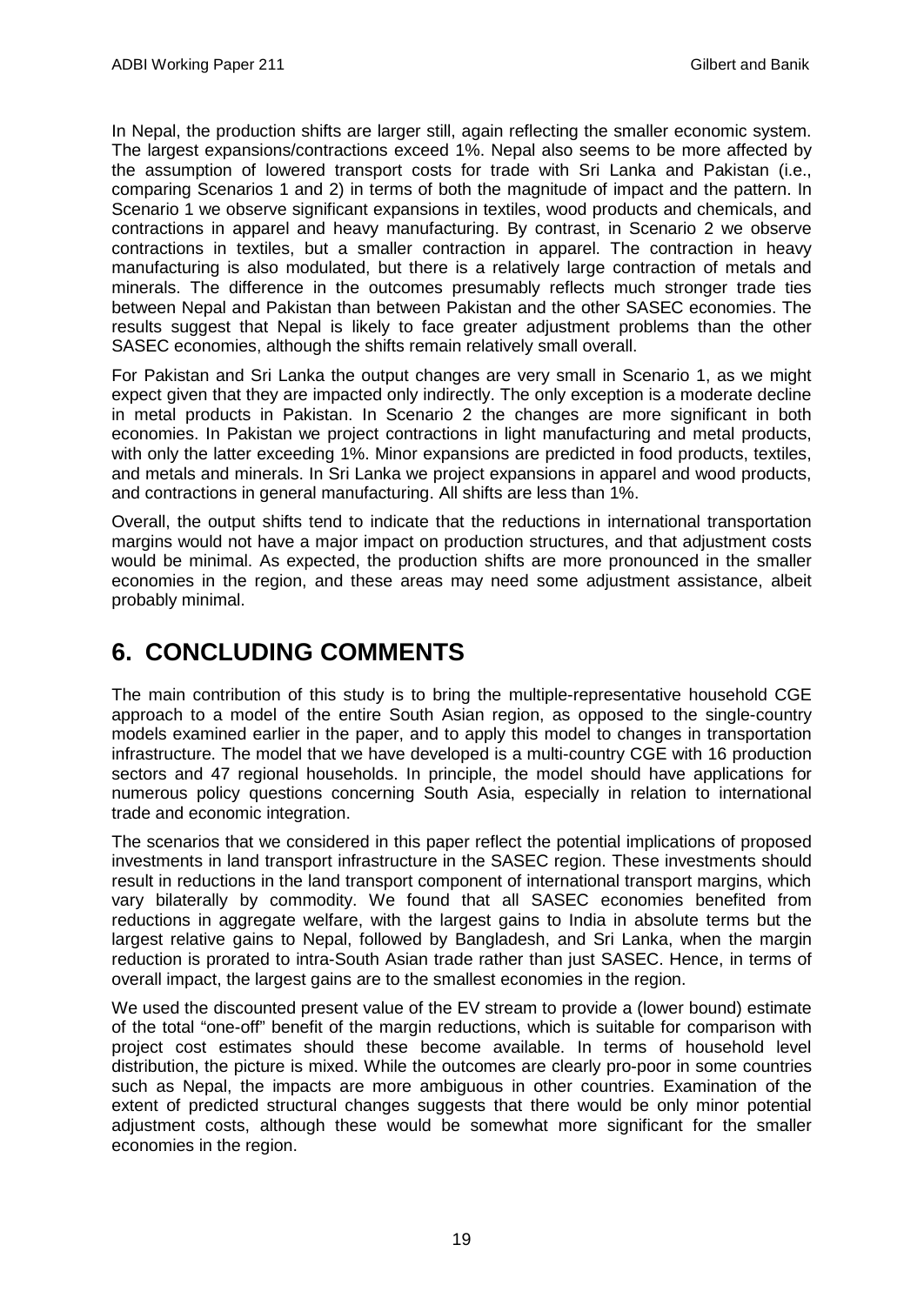In Nepal, the production shifts are larger still, again reflecting the smaller economic system. The largest expansions/contractions exceed 1%. Nepal also seems to be more affected by the assumption of lowered transport costs for trade with Sri Lanka and Pakistan (i.e., comparing Scenarios 1 and 2) in terms of both the magnitude of impact and the pattern. In Scenario 1 we observe significant expansions in textiles, wood products and chemicals, and contractions in apparel and heavy manufacturing. By contrast, in Scenario 2 we observe contractions in textiles, but a smaller contraction in apparel. The contraction in heavy manufacturing is also modulated, but there is a relatively large contraction of metals and minerals. The difference in the outcomes presumably reflects much stronger trade ties between Nepal and Pakistan than between Pakistan and the other SASEC economies. The results suggest that Nepal is likely to face greater adjustment problems than the other SASEC economies, although the shifts remain relatively small overall.

For Pakistan and Sri Lanka the output changes are very small in Scenario 1, as we might expect given that they are impacted only indirectly. The only exception is a moderate decline in metal products in Pakistan. In Scenario 2 the changes are more significant in both economies. In Pakistan we project contractions in light manufacturing and metal products, with only the latter exceeding 1%. Minor expansions are predicted in food products, textiles, and metals and minerals. In Sri Lanka we project expansions in apparel and wood products, and contractions in general manufacturing. All shifts are less than 1%.

Overall, the output shifts tend to indicate that the reductions in international transportation margins would not have a major impact on production structures, and that adjustment costs would be minimal. As expected, the production shifts are more pronounced in the smaller economies in the region, and these areas may need some adjustment assistance, albeit probably minimal.

## <span id="page-22-0"></span>**6. CONCLUDING COMMENTS**

The main contribution of this study is to bring the multiple-representative household CGE approach to a model of the entire South Asian region, as opposed to the single-country models examined earlier in the paper, and to apply this model to changes in transportation infrastructure. The model that we have developed is a multi-country CGE with 16 production sectors and 47 regional households. In principle, the model should have applications for numerous policy questions concerning South Asia, especially in relation to international trade and economic integration.

The scenarios that we considered in this paper reflect the potential implications of proposed investments in land transport infrastructure in the SASEC region. These investments should result in reductions in the land transport component of international transport margins, which vary bilaterally by commodity. We found that all SASEC economies benefited from reductions in aggregate welfare, with the largest gains to India in absolute terms but the largest relative gains to Nepal, followed by Bangladesh, and Sri Lanka, when the margin reduction is prorated to intra-South Asian trade rather than just SASEC. Hence, in terms of overall impact, the largest gains are to the smallest economies in the region.

We used the discounted present value of the EV stream to provide a (lower bound) estimate of the total "one-off" benefit of the margin reductions, which is suitable for comparison with project cost estimates should these become available. In terms of household level distribution, the picture is mixed. While the outcomes are clearly pro-poor in some countries such as Nepal, the impacts are more ambiguous in other countries. Examination of the extent of predicted structural changes suggests that there would be only minor potential adjustment costs, although these would be somewhat more significant for the smaller economies in the region.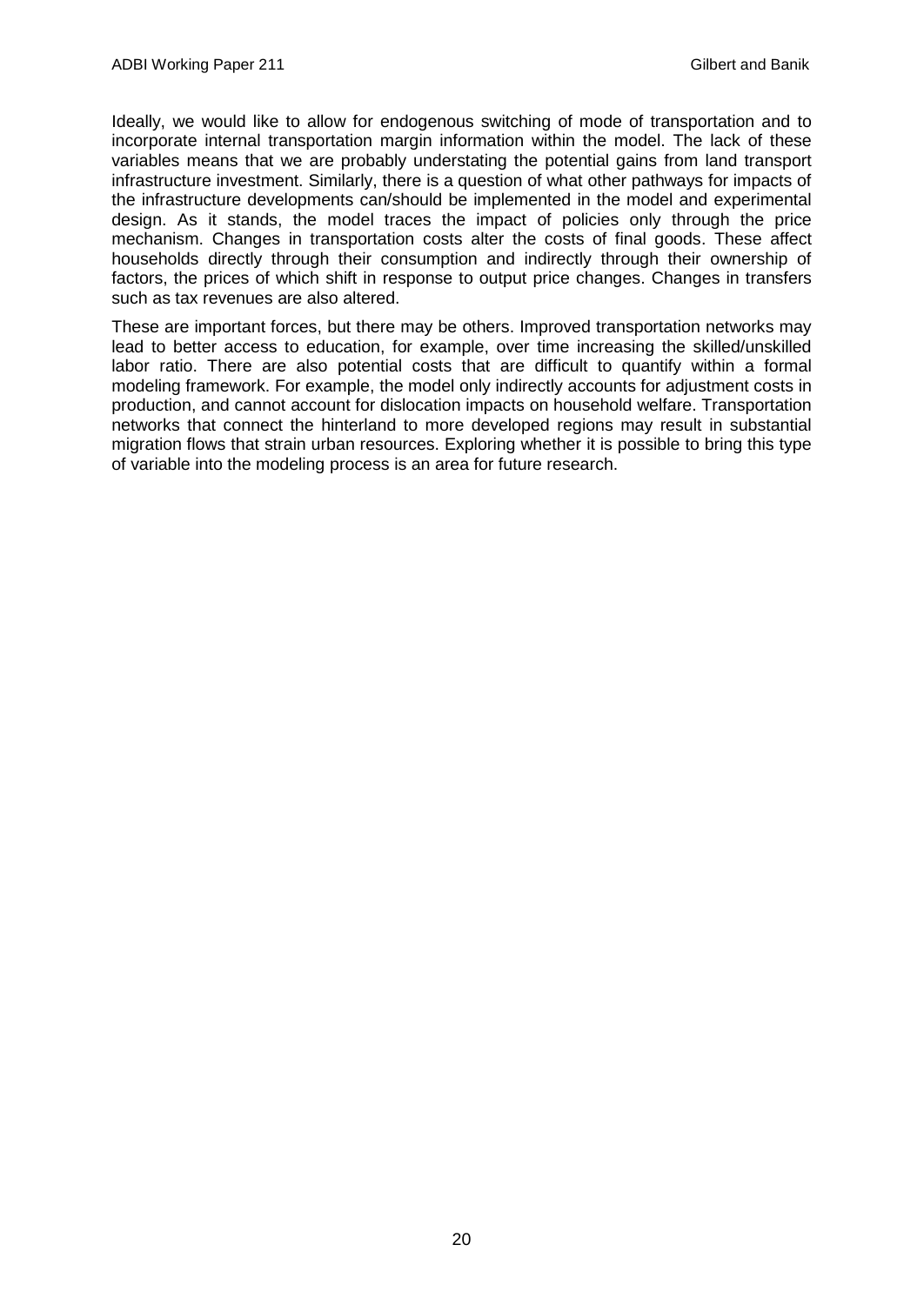Ideally, we would like to allow for endogenous switching of mode of transportation and to incorporate internal transportation margin information within the model. The lack of these variables means that we are probably understating the potential gains from land transport infrastructure investment. Similarly, there is a question of what other pathways for impacts of the infrastructure developments can/should be implemented in the model and experimental design. As it stands, the model traces the impact of policies only through the price mechanism. Changes in transportation costs alter the costs of final goods. These affect households directly through their consumption and indirectly through their ownership of factors, the prices of which shift in response to output price changes. Changes in transfers such as tax revenues are also altered.

These are important forces, but there may be others. Improved transportation networks may lead to better access to education, for example, over time increasing the skilled/unskilled labor ratio. There are also potential costs that are difficult to quantify within a formal modeling framework. For example, the model only indirectly accounts for adjustment costs in production, and cannot account for dislocation impacts on household welfare. Transportation networks that connect the hinterland to more developed regions may result in substantial migration flows that strain urban resources. Exploring whether it is possible to bring this type of variable into the modeling process is an area for future research.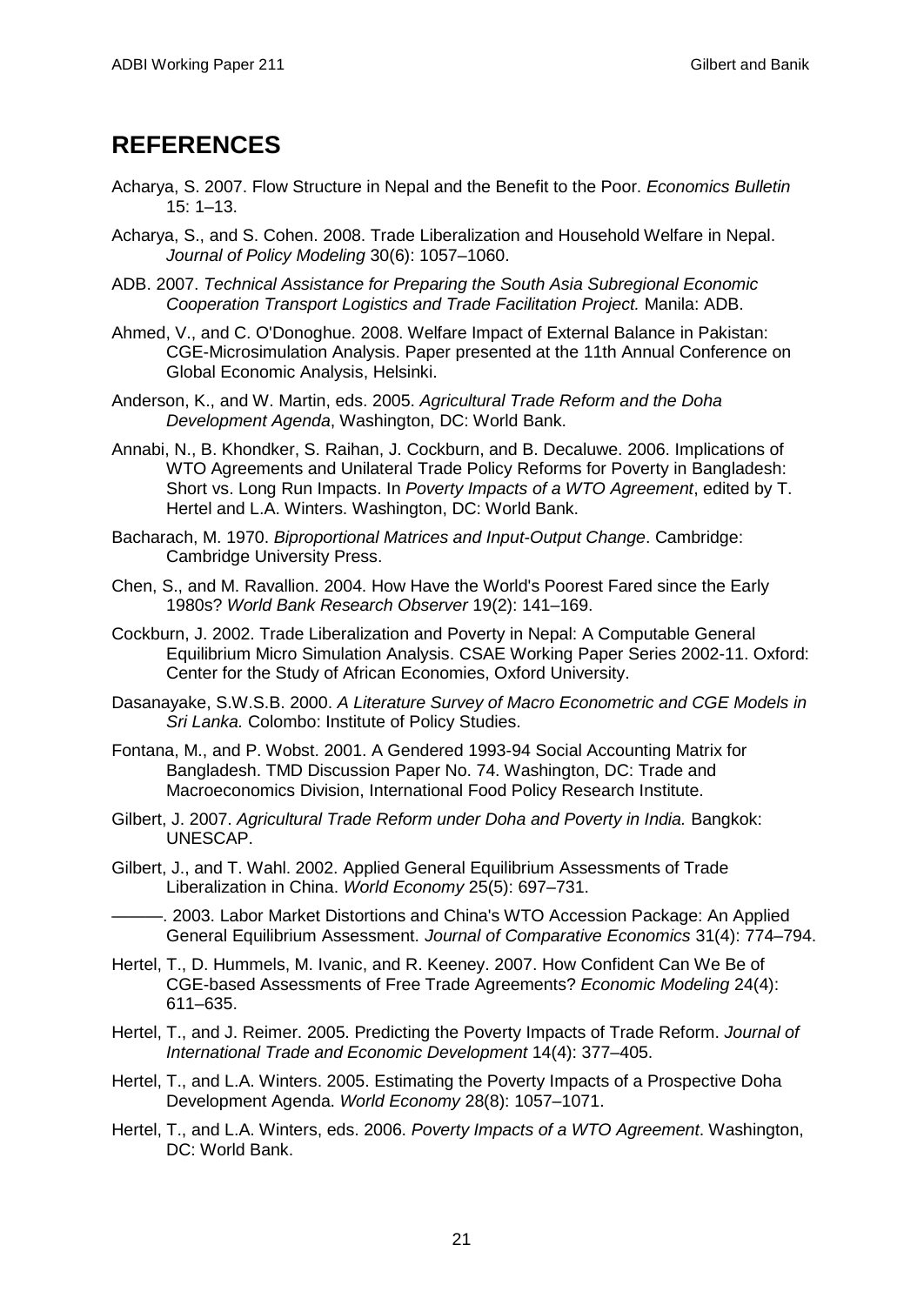## <span id="page-24-0"></span>**REFERENCES**

- Acharya, S. 2007. Flow Structure in Nepal and the Benefit to the Poor. *Economics Bulletin* 15: 1–13.
- Acharya, S., and S. Cohen. 2008. Trade Liberalization and Household Welfare in Nepal. *Journal of Policy Modeling* 30(6): 1057–1060.
- ADB. 2007. *Technical Assistance for Preparing the South Asia Subregional Economic Cooperation Transport Logistics and Trade Facilitation Project.* Manila: ADB.
- Ahmed, V., and C. O'Donoghue. 2008. Welfare Impact of External Balance in Pakistan: CGE-Microsimulation Analysis. Paper presented at the 11th Annual Conference on Global Economic Analysis, Helsinki.
- Anderson, K., and W. Martin, eds. 2005. *Agricultural Trade Reform and the Doha Development Agenda*, Washington, DC: World Bank.
- Annabi, N., B. Khondker, S. Raihan, J. Cockburn, and B. Decaluwe. 2006. Implications of WTO Agreements and Unilateral Trade Policy Reforms for Poverty in Bangladesh: Short vs. Long Run Impacts. In *Poverty Impacts of a WTO Agreement*, edited by T. Hertel and L.A. Winters. Washington, DC: World Bank.
- Bacharach, M. 1970. *Biproportional Matrices and Input-Output Change*. Cambridge: Cambridge University Press.
- Chen, S., and M. Ravallion. 2004. How Have the World's Poorest Fared since the Early 1980s? *World Bank Research Observer* 19(2): 141–169.
- Cockburn, J. 2002. Trade Liberalization and Poverty in Nepal: A Computable General Equilibrium Micro Simulation Analysis. CSAE Working Paper Series 2002-11. Oxford: Center for the Study of African Economies, Oxford University.
- Dasanayake, S.W.S.B. 2000. *A Literature Survey of Macro Econometric and CGE Models in Sri Lanka.* Colombo: Institute of Policy Studies.
- Fontana, M., and P. Wobst. 2001. A Gendered 1993-94 Social Accounting Matrix for Bangladesh. TMD Discussion Paper No. 74. Washington, DC: Trade and Macroeconomics Division, International Food Policy Research Institute.
- Gilbert, J. 2007. *Agricultural Trade Reform under Doha and Poverty in India.* Bangkok: UNESCAP.
- Gilbert, J., and T. Wahl. 2002. Applied General Equilibrium Assessments of Trade Liberalization in China. *World Economy* 25(5): 697–731.
	- -. 2003. Labor Market Distortions and China's WTO Accession Package: An Applied General Equilibrium Assessment. *Journal of Comparative Economics* 31(4): 774–794.
- Hertel, T., D. Hummels, M. Ivanic, and R. Keeney. 2007. How Confident Can We Be of CGE-based Assessments of Free Trade Agreements? *Economic Modeling* 24(4): 611–635.
- Hertel, T., and J. Reimer. 2005. Predicting the Poverty Impacts of Trade Reform. *Journal of International Trade and Economic Development* 14(4): 377–405.
- Hertel, T., and L.A. Winters. 2005. Estimating the Poverty Impacts of a Prospective Doha Development Agenda. *World Economy* 28(8): 1057–1071.
- Hertel, T., and L.A. Winters, eds. 2006. *Poverty Impacts of a WTO Agreement*. Washington, DC: World Bank.